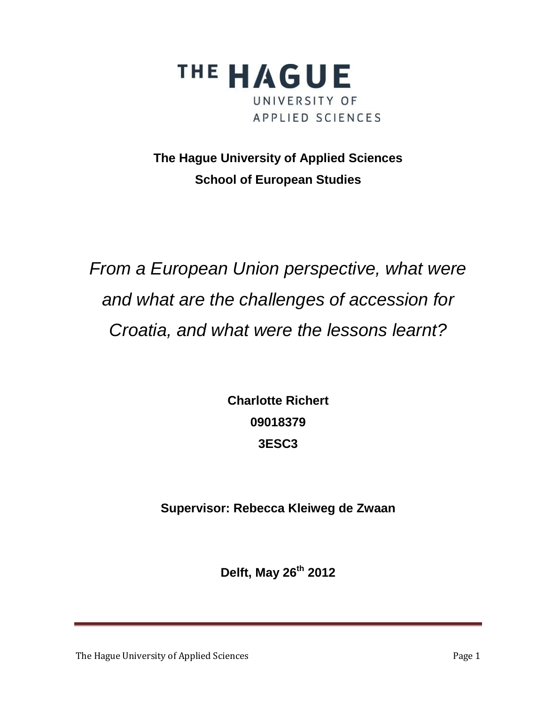

**The Hague University of Applied Sciences School of European Studies**

*From a European Union perspective, what were and what are the challenges of accession for Croatia, and what were the lessons learnt?*

> **Charlotte Richert 09018379 3ESC3**

**Supervisor: Rebecca Kleiweg de Zwaan**

**Delft, May 26 th 2012** 

The Hague University of Applied Sciences **Page 1** Page 1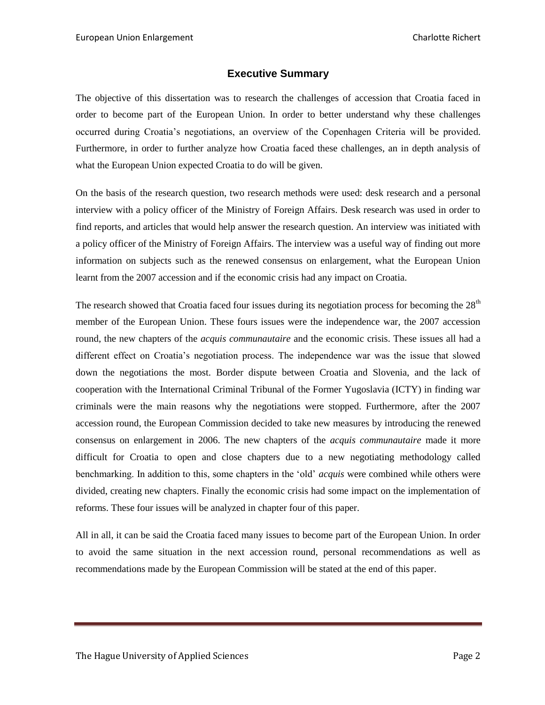# **Executive Summary**

<span id="page-1-0"></span>The objective of this dissertation was to research the challenges of accession that Croatia faced in order to become part of the European Union. In order to better understand why these challenges occurred during Croatia's negotiations, an overview of the Copenhagen Criteria will be provided. Furthermore, in order to further analyze how Croatia faced these challenges, an in depth analysis of what the European Union expected Croatia to do will be given.

On the basis of the research question, two research methods were used: desk research and a personal interview with a policy officer of the Ministry of Foreign Affairs. Desk research was used in order to find reports, and articles that would help answer the research question. An interview was initiated with a policy officer of the Ministry of Foreign Affairs. The interview was a useful way of finding out more information on subjects such as the renewed consensus on enlargement, what the European Union learnt from the 2007 accession and if the economic crisis had any impact on Croatia.

The research showed that Croatia faced four issues during its negotiation process for becoming the  $28<sup>th</sup>$ member of the European Union. These fours issues were the independence war, the 2007 accession round, the new chapters of the *acquis communautaire* and the economic crisis. These issues all had a different effect on Croatia's negotiation process. The independence war was the issue that slowed down the negotiations the most. Border dispute between Croatia and Slovenia, and the lack of cooperation with the International Criminal Tribunal of the Former Yugoslavia (ICTY) in finding war criminals were the main reasons why the negotiations were stopped. Furthermore, after the 2007 accession round, the European Commission decided to take new measures by introducing the renewed consensus on enlargement in 2006. The new chapters of the *acquis communautaire* made it more difficult for Croatia to open and close chapters due to a new negotiating methodology called benchmarking. In addition to this, some chapters in the 'old' *acquis* were combined while others were divided, creating new chapters. Finally the economic crisis had some impact on the implementation of reforms. These four issues will be analyzed in chapter four of this paper.

All in all, it can be said the Croatia faced many issues to become part of the European Union. In order to avoid the same situation in the next accession round, personal recommendations as well as recommendations made by the European Commission will be stated at the end of this paper.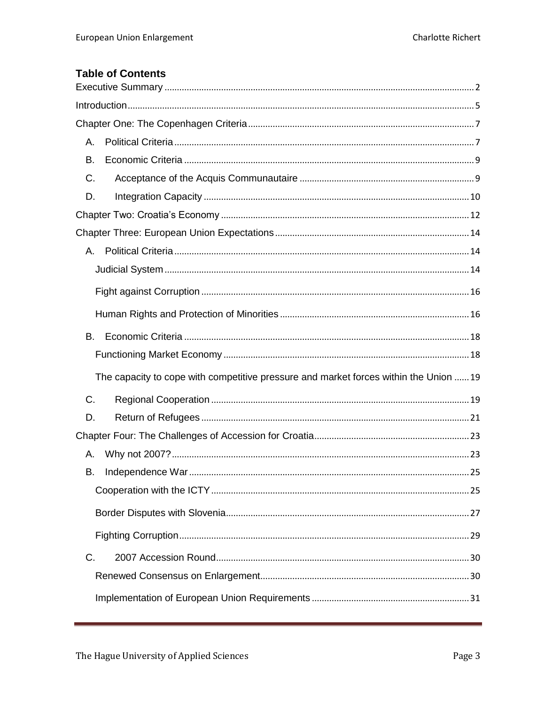# **Table of Contents**

| А.                                                                                    |  |
|---------------------------------------------------------------------------------------|--|
| В.                                                                                    |  |
| C.                                                                                    |  |
| D.                                                                                    |  |
|                                                                                       |  |
|                                                                                       |  |
|                                                                                       |  |
|                                                                                       |  |
|                                                                                       |  |
|                                                                                       |  |
| В.                                                                                    |  |
|                                                                                       |  |
| The capacity to cope with competitive pressure and market forces within the Union  19 |  |
| C.                                                                                    |  |
| D.                                                                                    |  |
|                                                                                       |  |
| А.                                                                                    |  |
| В.                                                                                    |  |
|                                                                                       |  |
|                                                                                       |  |
|                                                                                       |  |
| C.                                                                                    |  |
|                                                                                       |  |
|                                                                                       |  |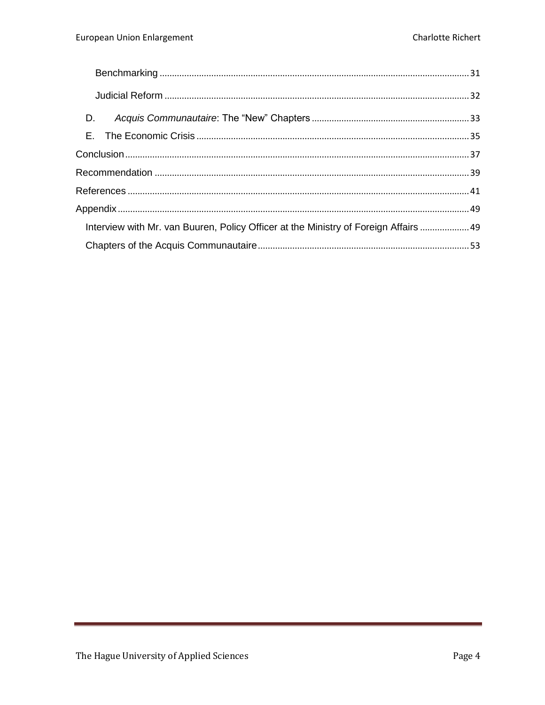| D.                                                                                   |  |
|--------------------------------------------------------------------------------------|--|
|                                                                                      |  |
|                                                                                      |  |
|                                                                                      |  |
|                                                                                      |  |
|                                                                                      |  |
| Interview with Mr. van Buuren, Policy Officer at the Ministry of Foreign Affairs  49 |  |
|                                                                                      |  |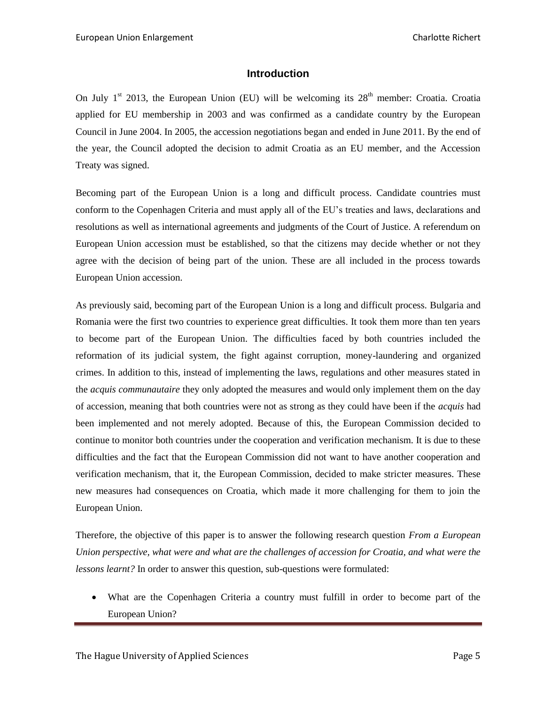# **Introduction**

<span id="page-4-0"></span>On July  $1^{st}$  2013, the European Union (EU) will be welcoming its  $28^{th}$  member: Croatia. Croatia applied for EU membership in 2003 and was confirmed as a candidate country by the European Council in June 2004. In 2005, the accession negotiations began and ended in June 2011. By the end of the year, the Council adopted the decision to admit Croatia as an EU member, and the Accession Treaty was signed.

Becoming part of the European Union is a long and difficult process. Candidate countries must conform to the Copenhagen Criteria and must apply all of the EU's treaties and laws, declarations and resolutions as well as international agreements and judgments of the Court of Justice. A referendum on European Union accession must be established, so that the citizens may decide whether or not they agree with the decision of being part of the union. These are all included in the process towards European Union accession.

As previously said, becoming part of the European Union is a long and difficult process. Bulgaria and Romania were the first two countries to experience great difficulties. It took them more than ten years to become part of the European Union. The difficulties faced by both countries included the reformation of its judicial system, the fight against corruption, money-laundering and organized crimes. In addition to this, instead of implementing the laws, regulations and other measures stated in the *acquis communautaire* they only adopted the measures and would only implement them on the day of accession, meaning that both countries were not as strong as they could have been if the *acquis* had been implemented and not merely adopted. Because of this, the European Commission decided to continue to monitor both countries under the cooperation and verification mechanism. It is due to these difficulties and the fact that the European Commission did not want to have another cooperation and verification mechanism, that it, the European Commission, decided to make stricter measures. These new measures had consequences on Croatia, which made it more challenging for them to join the European Union.

Therefore, the objective of this paper is to answer the following research question *From a European Union perspective, what were and what are the challenges of accession for Croatia, and what were the lessons learnt?* In order to answer this question, sub-questions were formulated:

 What are the Copenhagen Criteria a country must fulfill in order to become part of the European Union?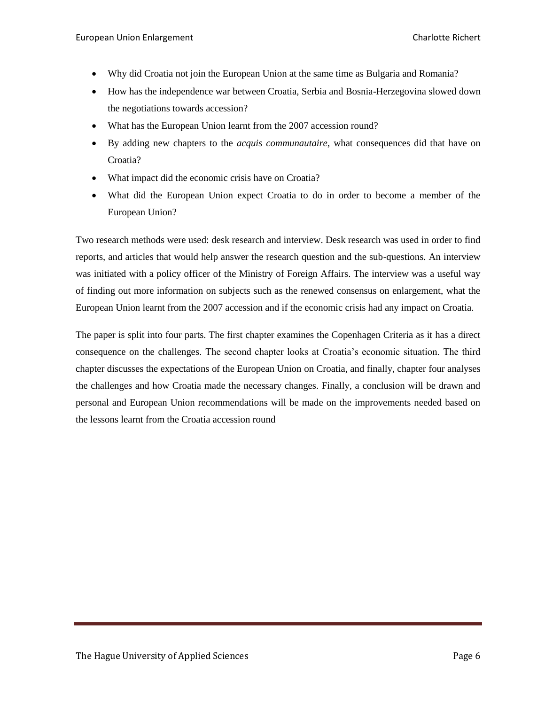- Why did Croatia not join the European Union at the same time as Bulgaria and Romania?
- How has the independence war between Croatia, Serbia and Bosnia-Herzegovina slowed down the negotiations towards accession?
- What has the European Union learnt from the 2007 accession round?
- By adding new chapters to the *acquis communautaire*, what consequences did that have on Croatia?
- What impact did the economic crisis have on Croatia?
- What did the European Union expect Croatia to do in order to become a member of the European Union?

Two research methods were used: desk research and interview. Desk research was used in order to find reports, and articles that would help answer the research question and the sub-questions. An interview was initiated with a policy officer of the Ministry of Foreign Affairs. The interview was a useful way of finding out more information on subjects such as the renewed consensus on enlargement, what the European Union learnt from the 2007 accession and if the economic crisis had any impact on Croatia.

The paper is split into four parts. The first chapter examines the Copenhagen Criteria as it has a direct consequence on the challenges. The second chapter looks at Croatia's economic situation. The third chapter discusses the expectations of the European Union on Croatia, and finally, chapter four analyses the challenges and how Croatia made the necessary changes. Finally, a conclusion will be drawn and personal and European Union recommendations will be made on the improvements needed based on the lessons learnt from the Croatia accession round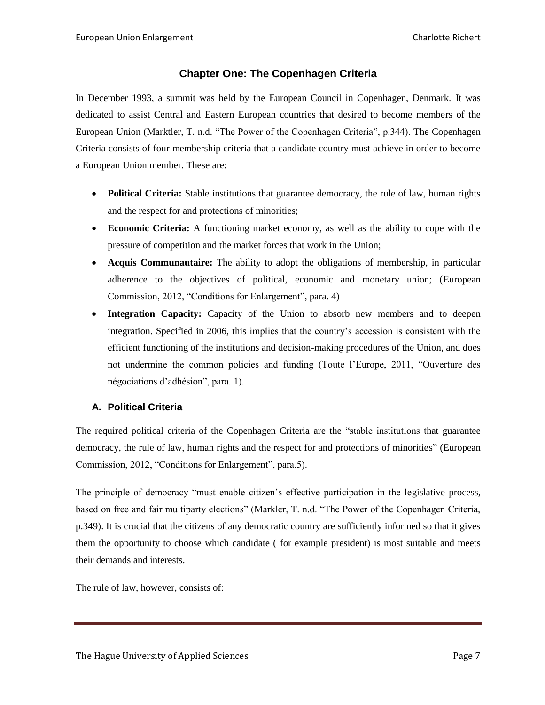# **Chapter One: The Copenhagen Criteria**

<span id="page-6-0"></span>In December 1993, a summit was held by the European Council in Copenhagen, Denmark. It was dedicated to assist Central and Eastern European countries that desired to become members of the European Union (Marktler, T. n.d. "The Power of the Copenhagen Criteria", p.344). The Copenhagen Criteria consists of four membership criteria that a candidate country must achieve in order to become a European Union member. These are:

- **Political Criteria:** Stable institutions that guarantee democracy, the rule of law, human rights and the respect for and protections of minorities;
- **Economic Criteria:** A functioning market economy, as well as the ability to cope with the pressure of competition and the market forces that work in the Union;
- **Acquis Communautaire:** The ability to adopt the obligations of membership, in particular adherence to the objectives of political, economic and monetary union; (European Commission, 2012, "Conditions for Enlargement", para. 4)
- **Integration Capacity:** Capacity of the Union to absorb new members and to deepen integration. Specified in 2006, this implies that the country's accession is consistent with the efficient functioning of the institutions and decision-making procedures of the Union, and does not undermine the common policies and funding (Toute l'Europe, 2011, "Ouverture des négociations d'adhésion", para. 1).

# <span id="page-6-1"></span>**A. Political Criteria**

The required political criteria of the Copenhagen Criteria are the "stable institutions that guarantee democracy, the rule of law, human rights and the respect for and protections of minorities" (European Commission, 2012, "Conditions for Enlargement", para.5).

The principle of democracy "must enable citizen's effective participation in the legislative process, based on free and fair multiparty elections" (Markler, T. n.d. "The Power of the Copenhagen Criteria, p.349). It is crucial that the citizens of any democratic country are sufficiently informed so that it gives them the opportunity to choose which candidate ( for example president) is most suitable and meets their demands and interests.

The rule of law, however, consists of: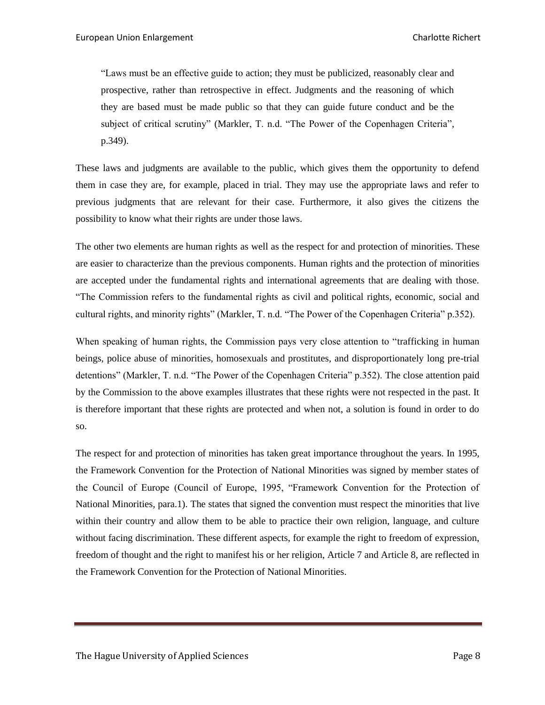"Laws must be an effective guide to action; they must be publicized, reasonably clear and prospective, rather than retrospective in effect. Judgments and the reasoning of which they are based must be made public so that they can guide future conduct and be the subject of critical scrutiny" (Markler, T. n.d. "The Power of the Copenhagen Criteria", p.349).

These laws and judgments are available to the public, which gives them the opportunity to defend them in case they are, for example, placed in trial. They may use the appropriate laws and refer to previous judgments that are relevant for their case. Furthermore, it also gives the citizens the possibility to know what their rights are under those laws.

The other two elements are human rights as well as the respect for and protection of minorities. These are easier to characterize than the previous components. Human rights and the protection of minorities are accepted under the fundamental rights and international agreements that are dealing with those. "The Commission refers to the fundamental rights as civil and political rights, economic, social and cultural rights, and minority rights" (Markler, T. n.d. "The Power of the Copenhagen Criteria" p.352).

When speaking of human rights, the Commission pays very close attention to "trafficking in human beings, police abuse of minorities, homosexuals and prostitutes, and disproportionately long pre-trial detentions" (Markler, T. n.d. "The Power of the Copenhagen Criteria" p.352). The close attention paid by the Commission to the above examples illustrates that these rights were not respected in the past. It is therefore important that these rights are protected and when not, a solution is found in order to do so.

The respect for and protection of minorities has taken great importance throughout the years. In 1995, the Framework Convention for the Protection of National Minorities was signed by member states of the Council of Europe (Council of Europe, 1995, "Framework Convention for the Protection of National Minorities, para.1). The states that signed the convention must respect the minorities that live within their country and allow them to be able to practice their own religion, language, and culture without facing discrimination. These different aspects, for example the right to freedom of expression, freedom of thought and the right to manifest his or her religion, Article 7 and Article 8, are reflected in the Framework Convention for the Protection of National Minorities.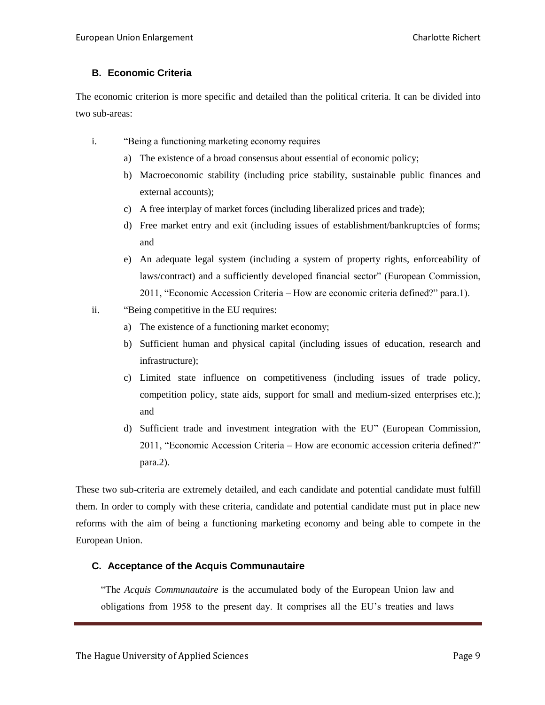# <span id="page-8-0"></span>**B. Economic Criteria**

The economic criterion is more specific and detailed than the political criteria. It can be divided into two sub-areas:

- i. "Being a functioning marketing economy requires
	- a) The existence of a broad consensus about essential of economic policy;
	- b) Macroeconomic stability (including price stability, sustainable public finances and external accounts);
	- c) A free interplay of market forces (including liberalized prices and trade);
	- d) Free market entry and exit (including issues of establishment/bankruptcies of forms; and
	- e) An adequate legal system (including a system of property rights, enforceability of laws/contract) and a sufficiently developed financial sector" (European Commission, 2011, "Economic Accession Criteria – How are economic criteria defined?" para.1).
- ii. "Being competitive in the EU requires:
	- a) The existence of a functioning market economy;
	- b) Sufficient human and physical capital (including issues of education, research and infrastructure);
	- c) Limited state influence on competitiveness (including issues of trade policy, competition policy, state aids, support for small and medium-sized enterprises etc.); and
	- d) Sufficient trade and investment integration with the EU" (European Commission, 2011, "Economic Accession Criteria – How are economic accession criteria defined?" para.2).

These two sub-criteria are extremely detailed, and each candidate and potential candidate must fulfill them. In order to comply with these criteria, candidate and potential candidate must put in place new reforms with the aim of being a functioning marketing economy and being able to compete in the European Union.

# <span id="page-8-1"></span>**C. Acceptance of the Acquis Communautaire**

"The *Acquis Communautaire* is the accumulated body of the European Union law and obligations from 1958 to the present day. It comprises all the EU's treaties and laws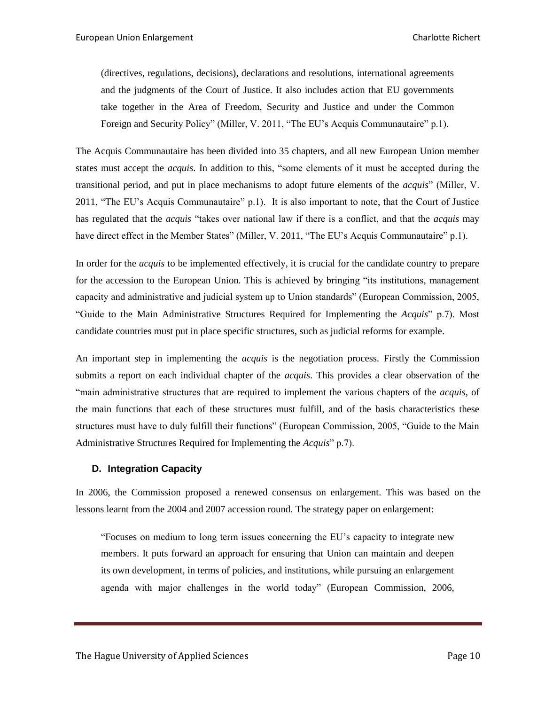(directives, regulations, decisions), declarations and resolutions, international agreements and the judgments of the Court of Justice. It also includes action that EU governments take together in the Area of Freedom, Security and Justice and under the Common Foreign and Security Policy" (Miller, V. 2011, "The EU's Acquis Communautaire" p.1).

The Acquis Communautaire has been divided into 35 chapters, and all new European Union member states must accept the *acquis*. In addition to this, "some elements of it must be accepted during the transitional period, and put in place mechanisms to adopt future elements of the *acquis*" (Miller, V. 2011, "The EU's Acquis Communautaire" p.1). It is also important to note, that the Court of Justice has regulated that the *acquis* "takes over national law if there is a conflict, and that the *acquis* may have direct effect in the Member States" (Miller, V. 2011, "The EU's Acquis Communautaire" p.1).

In order for the *acquis* to be implemented effectively, it is crucial for the candidate country to prepare for the accession to the European Union. This is achieved by bringing "its institutions, management capacity and administrative and judicial system up to Union standards" (European Commission, 2005, "Guide to the Main Administrative Structures Required for Implementing the *Acquis*" p.7). Most candidate countries must put in place specific structures, such as judicial reforms for example.

An important step in implementing the *acquis* is the negotiation process. Firstly the Commission submits a report on each individual chapter of the *acquis*. This provides a clear observation of the "main administrative structures that are required to implement the various chapters of the *acquis*, of the main functions that each of these structures must fulfill, and of the basis characteristics these structures must have to duly fulfill their functions" (European Commission, 2005, "Guide to the Main Administrative Structures Required for Implementing the *Acquis*" p.7).

#### <span id="page-9-0"></span>**D. Integration Capacity**

In 2006, the Commission proposed a renewed consensus on enlargement. This was based on the lessons learnt from the 2004 and 2007 accession round. The strategy paper on enlargement:

"Focuses on medium to long term issues concerning the EU's capacity to integrate new members. It puts forward an approach for ensuring that Union can maintain and deepen its own development, in terms of policies, and institutions, while pursuing an enlargement agenda with major challenges in the world today" (European Commission, 2006,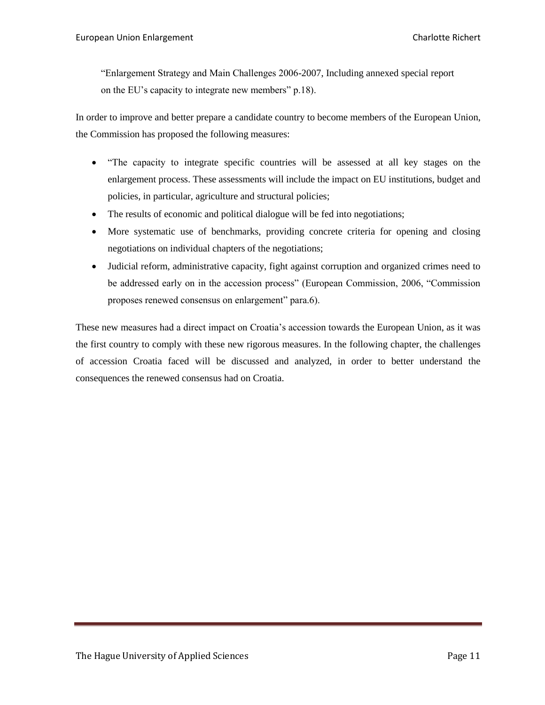"Enlargement Strategy and Main Challenges 2006-2007, Including annexed special report on the EU's capacity to integrate new members" p.18).

In order to improve and better prepare a candidate country to become members of the European Union, the Commission has proposed the following measures:

- "The capacity to integrate specific countries will be assessed at all key stages on the enlargement process. These assessments will include the impact on EU institutions, budget and policies, in particular, agriculture and structural policies;
- The results of economic and political dialogue will be fed into negotiations;
- More systematic use of benchmarks, providing concrete criteria for opening and closing negotiations on individual chapters of the negotiations;
- Judicial reform, administrative capacity, fight against corruption and organized crimes need to be addressed early on in the accession process" (European Commission, 2006, "Commission proposes renewed consensus on enlargement" para.6).

These new measures had a direct impact on Croatia's accession towards the European Union, as it was the first country to comply with these new rigorous measures. In the following chapter, the challenges of accession Croatia faced will be discussed and analyzed, in order to better understand the consequences the renewed consensus had on Croatia.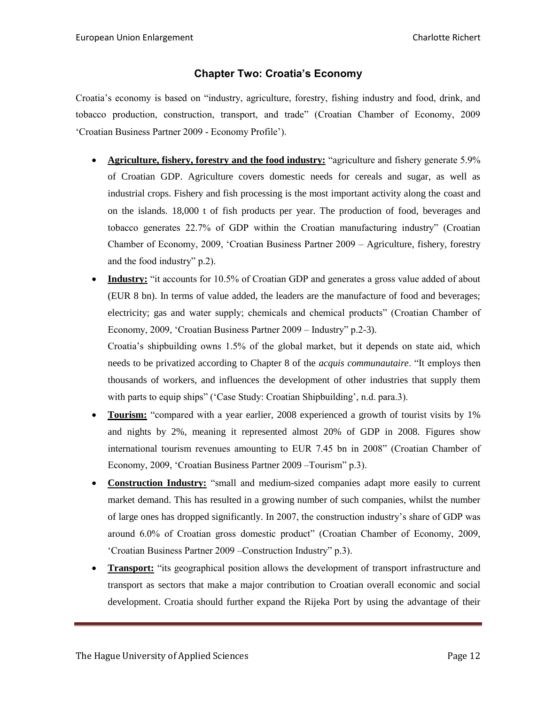# **Chapter Two: Croatia's Economy**

<span id="page-11-0"></span>Croatia's economy is based on "industry, agriculture, forestry, fishing industry and food, drink, and tobacco production, construction, transport, and trade" (Croatian Chamber of Economy, 2009 'Croatian Business Partner 2009 - Economy Profile').

- **Agriculture, fishery, forestry and the food industry:** "agriculture and fishery generate 5.9% of Croatian GDP. Agriculture covers domestic needs for cereals and sugar, as well as industrial crops. Fishery and fish processing is the most important activity along the coast and on the islands. 18,000 t of fish products per year. The production of food, beverages and tobacco generates 22.7% of GDP within the Croatian manufacturing industry" (Croatian Chamber of Economy, 2009, 'Croatian Business Partner 2009 – Agriculture, fishery, forestry and the food industry" p.2).
- **Industry:** "it accounts for 10.5% of Croatian GDP and generates a gross value added of about (EUR 8 bn). In terms of value added, the leaders are the manufacture of food and beverages; electricity; gas and water supply; chemicals and chemical products" (Croatian Chamber of Economy, 2009, 'Croatian Business Partner 2009 – Industry" p.2-3).

Croatia's shipbuilding owns 1.5% of the global market, but it depends on state aid, which needs to be privatized according to Chapter 8 of the *acquis communautaire*. "It employs then thousands of workers, and influences the development of other industries that supply them with parts to equip ships" ('Case Study: Croatian Shipbuilding', n.d. para.3).

- **Tourism:** "compared with a year earlier, 2008 experienced a growth of tourist visits by 1% and nights by 2%, meaning it represented almost 20% of GDP in 2008. Figures show international tourism revenues amounting to EUR 7.45 bn in 2008" (Croatian Chamber of Economy, 2009, 'Croatian Business Partner 2009 –Tourism" p.3).
- **Construction Industry:** "small and medium-sized companies adapt more easily to current market demand. This has resulted in a growing number of such companies, whilst the number of large ones has dropped significantly. In 2007, the construction industry's share of GDP was around 6.0% of Croatian gross domestic product" (Croatian Chamber of Economy, 2009, 'Croatian Business Partner 2009 –Construction Industry" p.3).
- **Transport:** "its geographical position allows the development of transport infrastructure and transport as sectors that make a major contribution to Croatian overall economic and social development. Croatia should further expand the Rijeka Port by using the advantage of their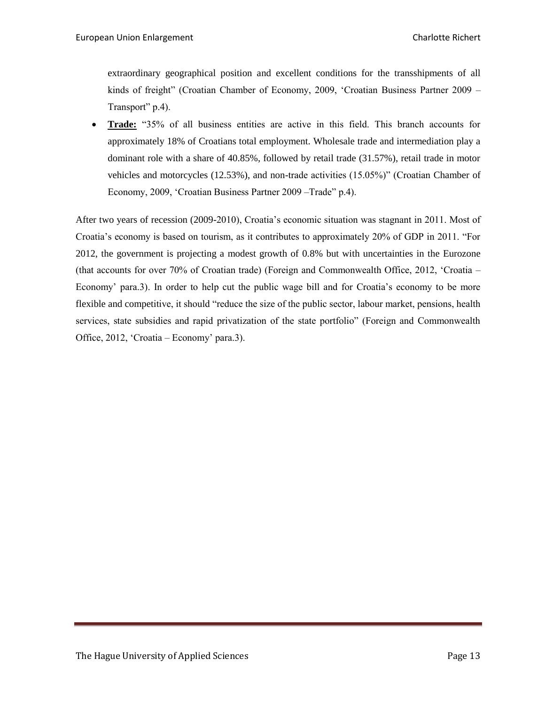extraordinary geographical position and excellent conditions for the transshipments of all kinds of freight" (Croatian Chamber of Economy, 2009, 'Croatian Business Partner 2009 – Transport" p.4).

 **Trade:** "35% of all business entities are active in this field. This branch accounts for approximately 18% of Croatians total employment. Wholesale trade and intermediation play a dominant role with a share of 40.85%, followed by retail trade (31.57%), retail trade in motor vehicles and motorcycles (12.53%), and non-trade activities (15.05%)" (Croatian Chamber of Economy, 2009, 'Croatian Business Partner 2009 –Trade" p.4).

After two years of recession (2009-2010), Croatia's economic situation was stagnant in 2011. Most of Croatia's economy is based on tourism, as it contributes to approximately 20% of GDP in 2011. "For 2012, the government is projecting a modest growth of 0.8% but with uncertainties in the Eurozone (that accounts for over 70% of Croatian trade) (Foreign and Commonwealth Office, 2012, 'Croatia – Economy' para.3). In order to help cut the public wage bill and for Croatia's economy to be more flexible and competitive, it should "reduce the size of the public sector, labour market, pensions, health services, state subsidies and rapid privatization of the state portfolio" (Foreign and Commonwealth Office, 2012, 'Croatia – Economy' para.3).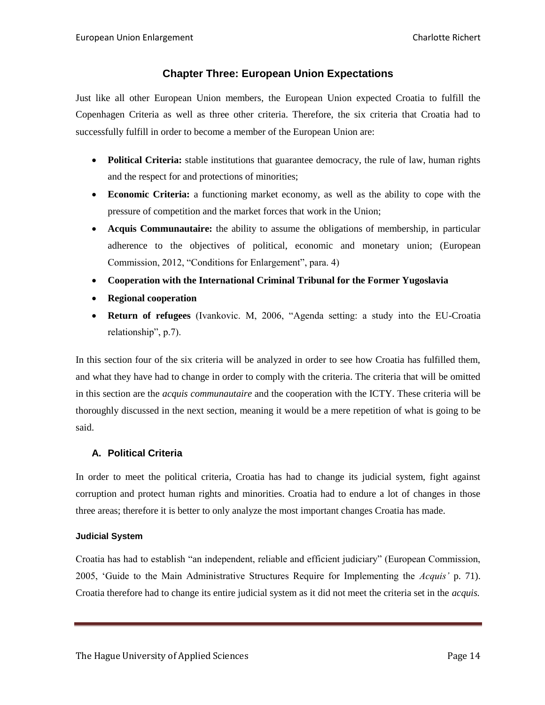# **Chapter Three: European Union Expectations**

<span id="page-13-0"></span>Just like all other European Union members, the European Union expected Croatia to fulfill the Copenhagen Criteria as well as three other criteria. Therefore, the six criteria that Croatia had to successfully fulfill in order to become a member of the European Union are:

- **Political Criteria:** stable institutions that guarantee democracy, the rule of law, human rights and the respect for and protections of minorities;
- **Economic Criteria:** a functioning market economy, as well as the ability to cope with the pressure of competition and the market forces that work in the Union;
- **Acquis Communautaire:** the ability to assume the obligations of membership, in particular adherence to the objectives of political, economic and monetary union; (European Commission, 2012, "Conditions for Enlargement", para. 4)
- **Cooperation with the International Criminal Tribunal for the Former Yugoslavia**
- **Regional cooperation**
- **Return of refugees** (Ivankovic. M, 2006, "Agenda setting: a study into the EU-Croatia relationship", p.7).

In this section four of the six criteria will be analyzed in order to see how Croatia has fulfilled them, and what they have had to change in order to comply with the criteria. The criteria that will be omitted in this section are the *acquis communautaire* and the cooperation with the ICTY. These criteria will be thoroughly discussed in the next section, meaning it would be a mere repetition of what is going to be said.

# <span id="page-13-1"></span>**A. Political Criteria**

In order to meet the political criteria, Croatia has had to change its judicial system, fight against corruption and protect human rights and minorities. Croatia had to endure a lot of changes in those three areas; therefore it is better to only analyze the most important changes Croatia has made.

#### <span id="page-13-2"></span>**Judicial System**

Croatia has had to establish "an independent, reliable and efficient judiciary" (European Commission, 2005, 'Guide to the Main Administrative Structures Require for Implementing the *Acquis'* p. 71). Croatia therefore had to change its entire judicial system as it did not meet the criteria set in the *acquis.*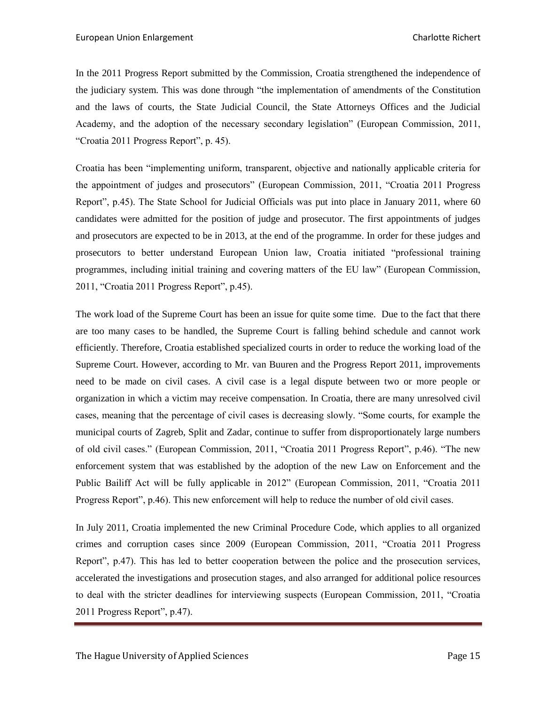In the 2011 Progress Report submitted by the Commission, Croatia strengthened the independence of the judiciary system. This was done through "the implementation of amendments of the Constitution and the laws of courts, the State Judicial Council, the State Attorneys Offices and the Judicial Academy, and the adoption of the necessary secondary legislation" (European Commission, 2011, "Croatia 2011 Progress Report", p. 45).

Croatia has been "implementing uniform, transparent, objective and nationally applicable criteria for the appointment of judges and prosecutors" (European Commission, 2011, "Croatia 2011 Progress Report", p.45). The State School for Judicial Officials was put into place in January 2011, where 60 candidates were admitted for the position of judge and prosecutor. The first appointments of judges and prosecutors are expected to be in 2013, at the end of the programme. In order for these judges and prosecutors to better understand European Union law, Croatia initiated "professional training programmes, including initial training and covering matters of the EU law" (European Commission, 2011, "Croatia 2011 Progress Report", p.45).

The work load of the Supreme Court has been an issue for quite some time. Due to the fact that there are too many cases to be handled, the Supreme Court is falling behind schedule and cannot work efficiently. Therefore, Croatia established specialized courts in order to reduce the working load of the Supreme Court. However, according to Mr. van Buuren and the Progress Report 2011, improvements need to be made on civil cases. A civil case is a legal dispute between two or more people or organization in which a victim may receive compensation. In Croatia, there are many unresolved civil cases, meaning that the percentage of civil cases is decreasing slowly. "Some courts, for example the municipal courts of Zagreb, Split and Zadar, continue to suffer from disproportionately large numbers of old civil cases." (European Commission, 2011, "Croatia 2011 Progress Report", p.46). "The new enforcement system that was established by the adoption of the new Law on Enforcement and the Public Bailiff Act will be fully applicable in 2012" (European Commission, 2011, "Croatia 2011 Progress Report", p.46). This new enforcement will help to reduce the number of old civil cases.

In July 2011, Croatia implemented the new Criminal Procedure Code, which applies to all organized crimes and corruption cases since 2009 (European Commission, 2011, "Croatia 2011 Progress Report", p.47). This has led to better cooperation between the police and the prosecution services, accelerated the investigations and prosecution stages, and also arranged for additional police resources to deal with the stricter deadlines for interviewing suspects (European Commission, 2011, "Croatia 2011 Progress Report", p.47).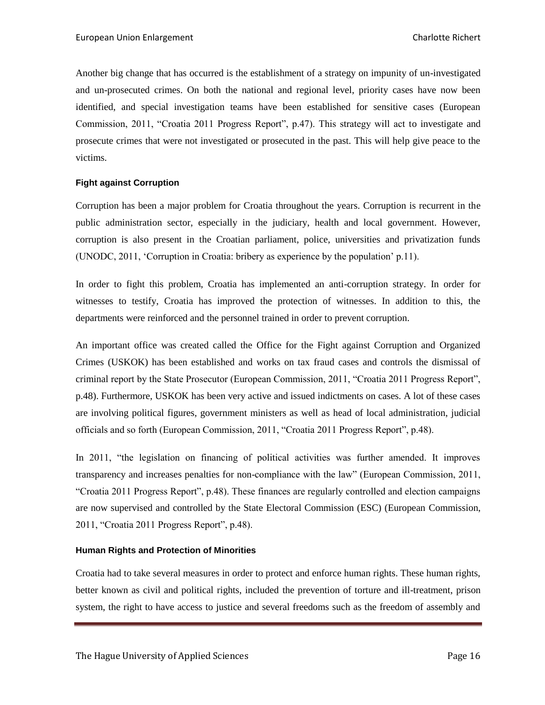Another big change that has occurred is the establishment of a strategy on impunity of un-investigated and un-prosecuted crimes. On both the national and regional level, priority cases have now been identified, and special investigation teams have been established for sensitive cases (European Commission, 2011, "Croatia 2011 Progress Report", p.47). This strategy will act to investigate and prosecute crimes that were not investigated or prosecuted in the past. This will help give peace to the victims.

#### <span id="page-15-0"></span>**Fight against Corruption**

Corruption has been a major problem for Croatia throughout the years. Corruption is recurrent in the public administration sector, especially in the judiciary, health and local government. However, corruption is also present in the Croatian parliament, police, universities and privatization funds (UNODC, 2011, 'Corruption in Croatia: bribery as experience by the population' p.11).

In order to fight this problem, Croatia has implemented an anti-corruption strategy. In order for witnesses to testify, Croatia has improved the protection of witnesses. In addition to this, the departments were reinforced and the personnel trained in order to prevent corruption.

An important office was created called the Office for the Fight against Corruption and Organized Crimes (USKOK) has been established and works on tax fraud cases and controls the dismissal of criminal report by the State Prosecutor (European Commission, 2011, "Croatia 2011 Progress Report", p.48). Furthermore, USKOK has been very active and issued indictments on cases. A lot of these cases are involving political figures, government ministers as well as head of local administration, judicial officials and so forth (European Commission, 2011, "Croatia 2011 Progress Report", p.48).

In 2011, "the legislation on financing of political activities was further amended. It improves transparency and increases penalties for non-compliance with the law" (European Commission, 2011, "Croatia 2011 Progress Report", p.48). These finances are regularly controlled and election campaigns are now supervised and controlled by the State Electoral Commission (ESC) (European Commission, 2011, "Croatia 2011 Progress Report", p.48).

#### <span id="page-15-1"></span>**Human Rights and Protection of Minorities**

Croatia had to take several measures in order to protect and enforce human rights. These human rights, better known as civil and political rights, included the prevention of torture and ill-treatment, prison system, the right to have access to justice and several freedoms such as the freedom of assembly and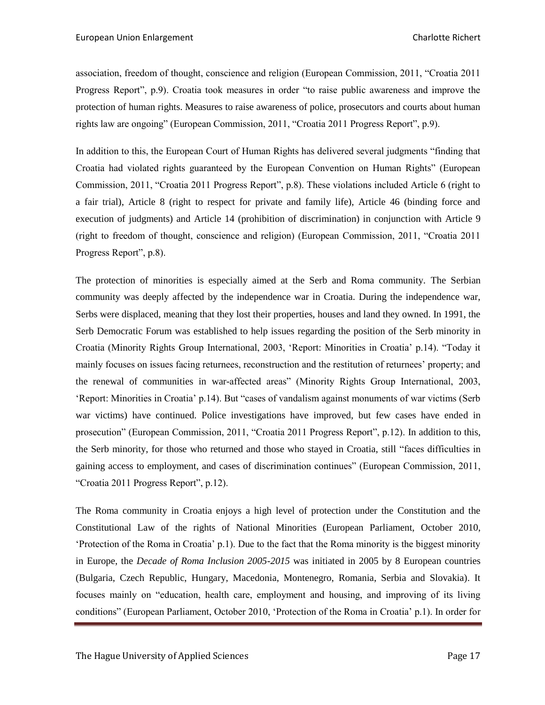association, freedom of thought, conscience and religion (European Commission, 2011, "Croatia 2011 Progress Report", p.9). Croatia took measures in order "to raise public awareness and improve the protection of human rights. Measures to raise awareness of police, prosecutors and courts about human rights law are ongoing" (European Commission, 2011, "Croatia 2011 Progress Report", p.9).

In addition to this, the European Court of Human Rights has delivered several judgments "finding that Croatia had violated rights guaranteed by the European Convention on Human Rights" (European Commission, 2011, "Croatia 2011 Progress Report", p.8). These violations included Article 6 (right to a fair trial), Article 8 (right to respect for private and family life), Article 46 (binding force and execution of judgments) and Article 14 (prohibition of discrimination) in conjunction with Article 9 (right to freedom of thought, conscience and religion) (European Commission, 2011, "Croatia 2011 Progress Report", p.8).

The protection of minorities is especially aimed at the Serb and Roma community. The Serbian community was deeply affected by the independence war in Croatia. During the independence war, Serbs were displaced, meaning that they lost their properties, houses and land they owned. In 1991, the Serb Democratic Forum was established to help issues regarding the position of the Serb minority in Croatia (Minority Rights Group International, 2003, 'Report: Minorities in Croatia' p.14). "Today it mainly focuses on issues facing returnees, reconstruction and the restitution of returnees' property; and the renewal of communities in war-affected areas" (Minority Rights Group International, 2003, 'Report: Minorities in Croatia' p.14). But "cases of vandalism against monuments of war victims (Serb war victims) have continued. Police investigations have improved, but few cases have ended in prosecution" (European Commission, 2011, "Croatia 2011 Progress Report", p.12). In addition to this, the Serb minority, for those who returned and those who stayed in Croatia, still "faces difficulties in gaining access to employment, and cases of discrimination continues" (European Commission, 2011, "Croatia 2011 Progress Report", p.12).

The Roma community in Croatia enjoys a high level of protection under the Constitution and the Constitutional Law of the rights of National Minorities (European Parliament, October 2010, 'Protection of the Roma in Croatia' p.1). Due to the fact that the Roma minority is the biggest minority in Europe, the *Decade of Roma Inclusion 2005-2015* was initiated in 2005 by 8 European countries (Bulgaria, Czech Republic, Hungary, Macedonia, Montenegro, Romania, Serbia and Slovakia). It focuses mainly on "education, health care, employment and housing, and improving of its living conditions" (European Parliament, October 2010, 'Protection of the Roma in Croatia' p.1). In order for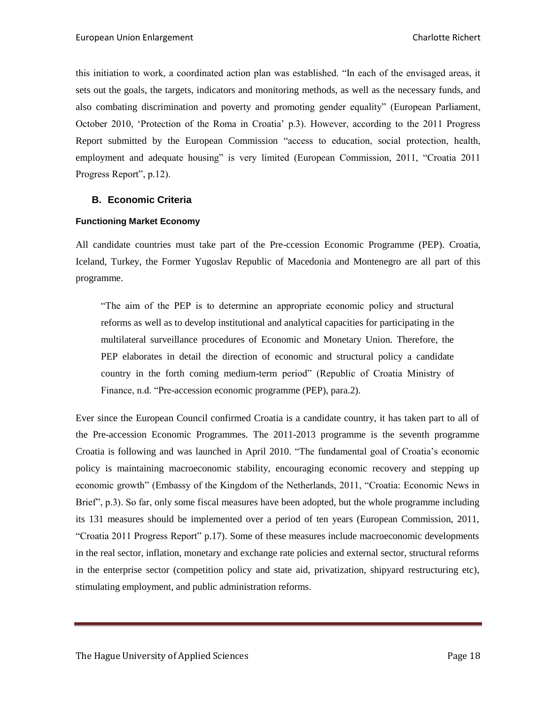this initiation to work, a coordinated action plan was established. "In each of the envisaged areas, it sets out the goals, the targets, indicators and monitoring methods, as well as the necessary funds, and also combating discrimination and poverty and promoting gender equality" (European Parliament, October 2010, 'Protection of the Roma in Croatia' p.3). However, according to the 2011 Progress Report submitted by the European Commission "access to education, social protection, health, employment and adequate housing" is very limited (European Commission, 2011, "Croatia 2011 Progress Report", p.12).

# <span id="page-17-0"></span>**B. Economic Criteria**

#### <span id="page-17-1"></span>**Functioning Market Economy**

All candidate countries must take part of the Pre-ccession Economic Programme (PEP). Croatia, Iceland, Turkey, the Former Yugoslav Republic of Macedonia and Montenegro are all part of this programme.

"The aim of the PEP is to determine an appropriate economic policy and structural reforms as well as to develop institutional and analytical capacities for participating in the multilateral surveillance procedures of Economic and Monetary Union. Therefore, the PEP elaborates in detail the direction of economic and structural policy a candidate country in the forth coming medium-term period" (Republic of Croatia Ministry of Finance, n.d. "Pre-accession economic programme (PEP), para.2).

Ever since the European Council confirmed Croatia is a candidate country, it has taken part to all of the Pre-accession Economic Programmes. The 2011-2013 programme is the seventh programme Croatia is following and was launched in April 2010. "The fundamental goal of Croatia's economic policy is maintaining macroeconomic stability, encouraging economic recovery and stepping up economic growth" (Embassy of the Kingdom of the Netherlands, 2011, "Croatia: Economic News in Brief", p.3). So far, only some fiscal measures have been adopted, but the whole programme including its 131 measures should be implemented over a period of ten years (European Commission, 2011, "Croatia 2011 Progress Report" p.17). Some of these measures include macroeconomic developments in the real sector, inflation, monetary and exchange rate policies and external sector, structural reforms in the enterprise sector (competition policy and state aid, privatization, shipyard restructuring etc), stimulating employment, and public administration reforms.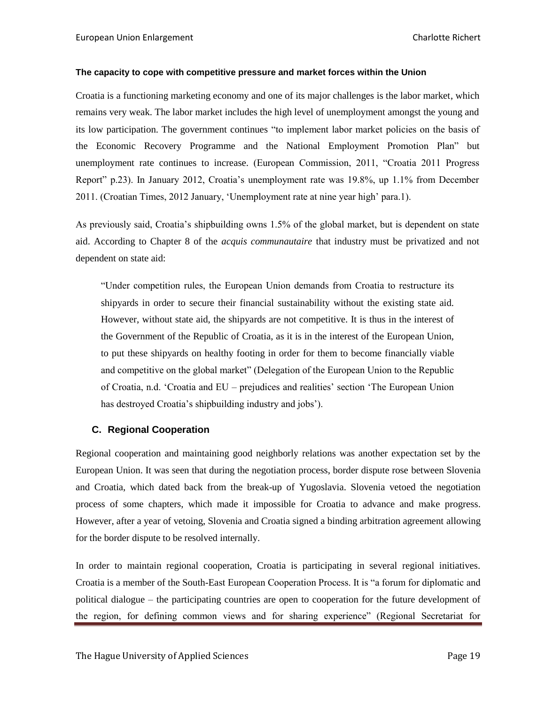#### <span id="page-18-0"></span>**The capacity to cope with competitive pressure and market forces within the Union**

Croatia is a functioning marketing economy and one of its major challenges is the labor market, which remains very weak. The labor market includes the high level of unemployment amongst the young and its low participation. The government continues "to implement labor market policies on the basis of the Economic Recovery Programme and the National Employment Promotion Plan" but unemployment rate continues to increase. (European Commission, 2011, "Croatia 2011 Progress Report" p.23). In January 2012, Croatia's unemployment rate was 19.8%, up 1.1% from December 2011. (Croatian Times, 2012 January, 'Unemployment rate at nine year high' para.1).

As previously said, Croatia's shipbuilding owns 1.5% of the global market, but is dependent on state aid. According to Chapter 8 of the *acquis communautaire* that industry must be privatized and not dependent on state aid:

"Under competition rules, the European Union demands from Croatia to restructure its shipyards in order to secure their financial sustainability without the existing state aid. However, without state aid, the shipyards are not competitive. It is thus in the interest of the Government of the Republic of Croatia, as it is in the interest of the European Union, to put these shipyards on healthy footing in order for them to become financially viable and competitive on the global market" (Delegation of the European Union to the Republic of Croatia, n.d. 'Croatia and EU – prejudices and realities' section 'The European Union has destroyed Croatia's shipbuilding industry and jobs').

#### <span id="page-18-1"></span>**C. Regional Cooperation**

Regional cooperation and maintaining good neighborly relations was another expectation set by the European Union. It was seen that during the negotiation process, border dispute rose between Slovenia and Croatia, which dated back from the break-up of Yugoslavia. Slovenia vetoed the negotiation process of some chapters, which made it impossible for Croatia to advance and make progress. However, after a year of vetoing, Slovenia and Croatia signed a binding arbitration agreement allowing for the border dispute to be resolved internally.

In order to maintain regional cooperation, Croatia is participating in several regional initiatives. Croatia is a member of the South-East European Cooperation Process. It is "a forum for diplomatic and political dialogue – the participating countries are open to cooperation for the future development of the region, for defining common views and for sharing experience" (Regional Secretariat for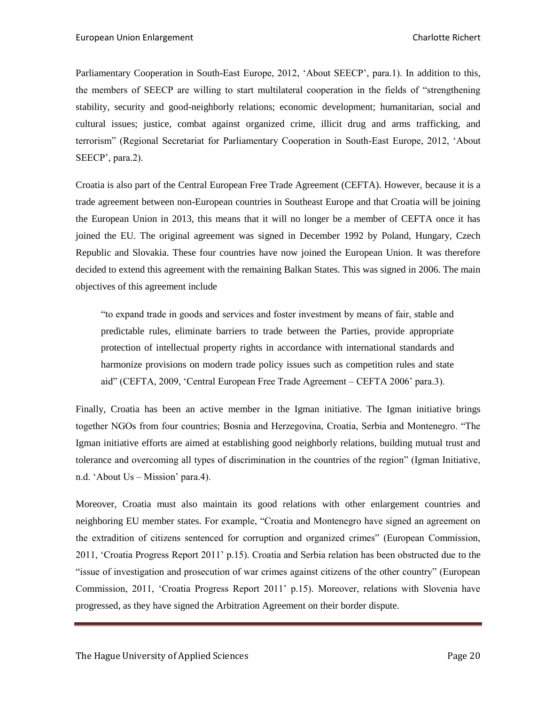Parliamentary Cooperation in South-East Europe, 2012, 'About SEECP', para.1). In addition to this, the members of SEECP are willing to start multilateral cooperation in the fields of "strengthening stability, security and good-neighborly relations; economic development; humanitarian, social and cultural issues; justice, combat against organized crime, illicit drug and arms trafficking, and terrorism" (Regional Secretariat for Parliamentary Cooperation in South-East Europe, 2012, 'About SEECP', para.2).

Croatia is also part of the Central European Free Trade Agreement (CEFTA). However, because it is a trade agreement between non-European countries in Southeast Europe and that Croatia will be joining the European Union in 2013, this means that it will no longer be a member of CEFTA once it has joined the EU. The original agreement was signed in December 1992 by Poland, Hungary, Czech Republic and Slovakia. These four countries have now joined the European Union. It was therefore decided to extend this agreement with the remaining Balkan States. This was signed in 2006. The main objectives of this agreement include

"to expand trade in goods and services and foster investment by means of fair, stable and predictable rules, eliminate barriers to trade between the Parties, provide appropriate protection of intellectual property rights in accordance with international standards and harmonize provisions on modern trade policy issues such as competition rules and state aid" (CEFTA, 2009, 'Central European Free Trade Agreement – CEFTA 2006' para.3).

Finally, Croatia has been an active member in the Igman initiative. The Igman initiative brings together NGOs from four countries; Bosnia and Herzegovina, Croatia, Serbia and Montenegro. "The Igman initiative efforts are aimed at establishing good neighborly relations, building mutual trust and tolerance and overcoming all types of discrimination in the countries of the region" (Igman Initiative, n.d. 'About Us – Mission' para.4).

Moreover, Croatia must also maintain its good relations with other enlargement countries and neighboring EU member states. For example, "Croatia and Montenegro have signed an agreement on the extradition of citizens sentenced for corruption and organized crimes" (European Commission, 2011, 'Croatia Progress Report 2011' p.15). Croatia and Serbia relation has been obstructed due to the "issue of investigation and prosecution of war crimes against citizens of the other country" (European Commission, 2011, 'Croatia Progress Report 2011' p.15). Moreover, relations with Slovenia have progressed, as they have signed the Arbitration Agreement on their border dispute.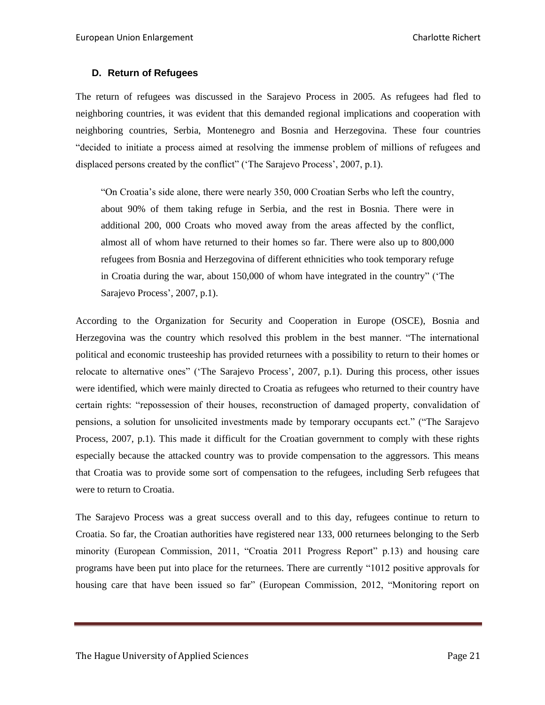# <span id="page-20-0"></span>**D. Return of Refugees**

The return of refugees was discussed in the Sarajevo Process in 2005. As refugees had fled to neighboring countries, it was evident that this demanded regional implications and cooperation with neighboring countries, Serbia, Montenegro and Bosnia and Herzegovina. These four countries "decided to initiate a process aimed at resolving the immense problem of millions of refugees and displaced persons created by the conflict" ('The Sarajevo Process', 2007, p.1).

"On Croatia's side alone, there were nearly 350, 000 Croatian Serbs who left the country, about 90% of them taking refuge in Serbia, and the rest in Bosnia. There were in additional 200, 000 Croats who moved away from the areas affected by the conflict, almost all of whom have returned to their homes so far. There were also up to 800,000 refugees from Bosnia and Herzegovina of different ethnicities who took temporary refuge in Croatia during the war, about 150,000 of whom have integrated in the country" ('The Sarajevo Process', 2007, p.1).

According to the Organization for Security and Cooperation in Europe (OSCE), Bosnia and Herzegovina was the country which resolved this problem in the best manner. "The international political and economic trusteeship has provided returnees with a possibility to return to their homes or relocate to alternative ones" ('The Sarajevo Process', 2007, p.1). During this process, other issues were identified, which were mainly directed to Croatia as refugees who returned to their country have certain rights: "repossession of their houses, reconstruction of damaged property, convalidation of pensions, a solution for unsolicited investments made by temporary occupants ect." ("The Sarajevo Process, 2007, p.1). This made it difficult for the Croatian government to comply with these rights especially because the attacked country was to provide compensation to the aggressors. This means that Croatia was to provide some sort of compensation to the refugees, including Serb refugees that were to return to Croatia.

The Sarajevo Process was a great success overall and to this day, refugees continue to return to Croatia. So far, the Croatian authorities have registered near 133, 000 returnees belonging to the Serb minority (European Commission, 2011, "Croatia 2011 Progress Report" p.13) and housing care programs have been put into place for the returnees. There are currently "1012 positive approvals for housing care that have been issued so far" (European Commission, 2012, "Monitoring report on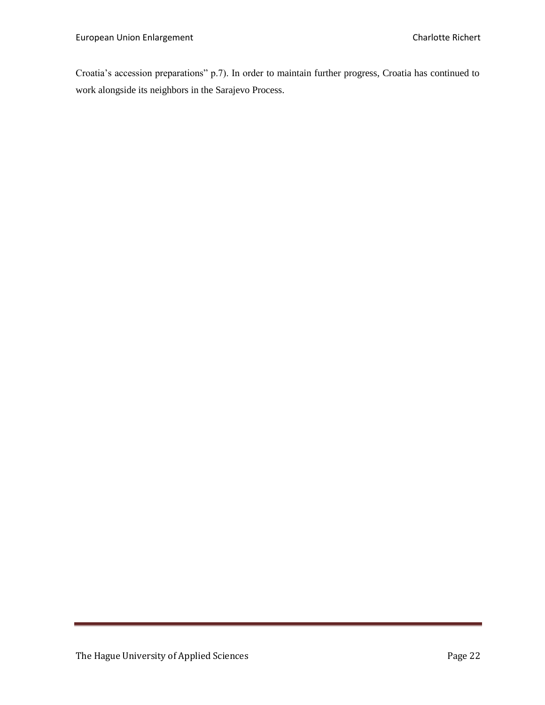Croatia's accession preparations" p.7). In order to maintain further progress, Croatia has continued to work alongside its neighbors in the Sarajevo Process.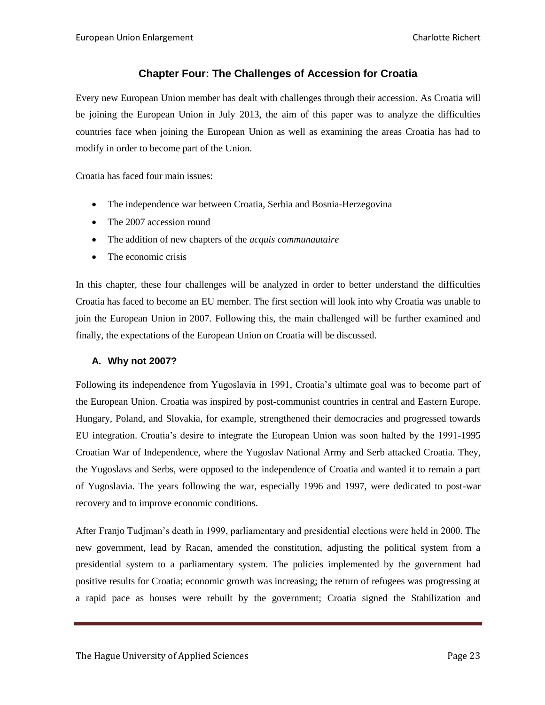# **Chapter Four: The Challenges of Accession for Croatia**

<span id="page-22-0"></span>Every new European Union member has dealt with challenges through their accession. As Croatia will be joining the European Union in July 2013, the aim of this paper was to analyze the difficulties countries face when joining the European Union as well as examining the areas Croatia has had to modify in order to become part of the Union.

Croatia has faced four main issues:

- The independence war between Croatia, Serbia and Bosnia-Herzegovina
- The 2007 accession round
- The addition of new chapters of the *acquis communautaire*
- The economic crisis

In this chapter, these four challenges will be analyzed in order to better understand the difficulties Croatia has faced to become an EU member. The first section will look into why Croatia was unable to join the European Union in 2007. Following this, the main challenged will be further examined and finally, the expectations of the European Union on Croatia will be discussed.

#### <span id="page-22-1"></span>**A. Why not 2007?**

Following its independence from Yugoslavia in 1991, Croatia's ultimate goal was to become part of the European Union. Croatia was inspired by post-communist countries in central and Eastern Europe. Hungary, Poland, and Slovakia, for example, strengthened their democracies and progressed towards EU integration. Croatia's desire to integrate the European Union was soon halted by the 1991-1995 Croatian War of Independence, where the Yugoslav National Army and Serb attacked Croatia. They, the Yugoslavs and Serbs, were opposed to the independence of Croatia and wanted it to remain a part of Yugoslavia. The years following the war, especially 1996 and 1997, were dedicated to post-war recovery and to improve economic conditions.

After Franjo Tudjman's death in 1999, parliamentary and presidential elections were held in 2000. The new government, lead by Racan, amended the constitution, adjusting the political system from a presidential system to a parliamentary system. The policies implemented by the government had positive results for Croatia; economic growth was increasing; the return of refugees was progressing at a rapid pace as houses were rebuilt by the government; Croatia signed the Stabilization and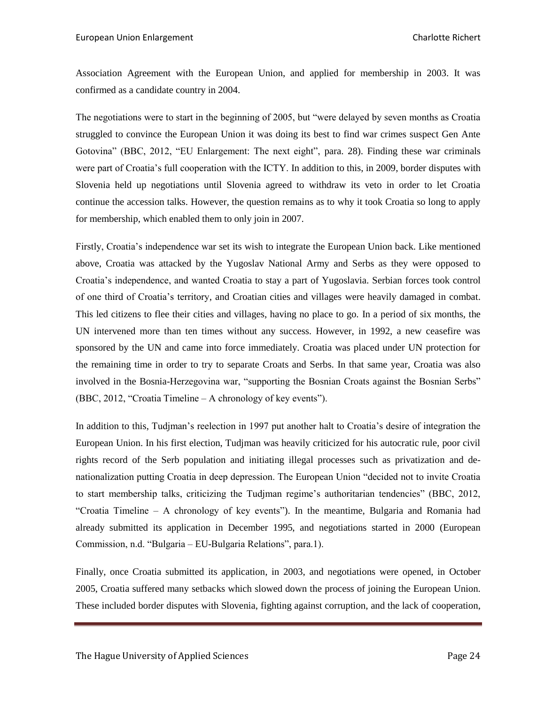Association Agreement with the European Union, and applied for membership in 2003. It was confirmed as a candidate country in 2004.

The negotiations were to start in the beginning of 2005, but "were delayed by seven months as Croatia struggled to convince the European Union it was doing its best to find war crimes suspect Gen Ante Gotovina" (BBC, 2012, "EU Enlargement: The next eight", para. 28). Finding these war criminals were part of Croatia's full cooperation with the ICTY. In addition to this, in 2009, border disputes with Slovenia held up negotiations until Slovenia agreed to withdraw its veto in order to let Croatia continue the accession talks. However, the question remains as to why it took Croatia so long to apply for membership, which enabled them to only join in 2007.

Firstly, Croatia's independence war set its wish to integrate the European Union back. Like mentioned above, Croatia was attacked by the Yugoslav National Army and Serbs as they were opposed to Croatia's independence, and wanted Croatia to stay a part of Yugoslavia. Serbian forces took control of one third of Croatia's territory, and Croatian cities and villages were heavily damaged in combat. This led citizens to flee their cities and villages, having no place to go. In a period of six months, the UN intervened more than ten times without any success. However, in 1992, a new ceasefire was sponsored by the UN and came into force immediately. Croatia was placed under UN protection for the remaining time in order to try to separate Croats and Serbs. In that same year, Croatia was also involved in the Bosnia-Herzegovina war, "supporting the Bosnian Croats against the Bosnian Serbs" (BBC, 2012, "Croatia Timeline – A chronology of key events").

In addition to this, Tudjman's reelection in 1997 put another halt to Croatia's desire of integration the European Union. In his first election, Tudjman was heavily criticized for his autocratic rule, poor civil rights record of the Serb population and initiating illegal processes such as privatization and denationalization putting Croatia in deep depression. The European Union "decided not to invite Croatia to start membership talks, criticizing the Tudjman regime's authoritarian tendencies" (BBC, 2012, "Croatia Timeline – A chronology of key events"). In the meantime, Bulgaria and Romania had already submitted its application in December 1995, and negotiations started in 2000 (European Commission, n.d. "Bulgaria – EU-Bulgaria Relations", para.1).

Finally, once Croatia submitted its application, in 2003, and negotiations were opened, in October 2005, Croatia suffered many setbacks which slowed down the process of joining the European Union. These included border disputes with Slovenia, fighting against corruption, and the lack of cooperation,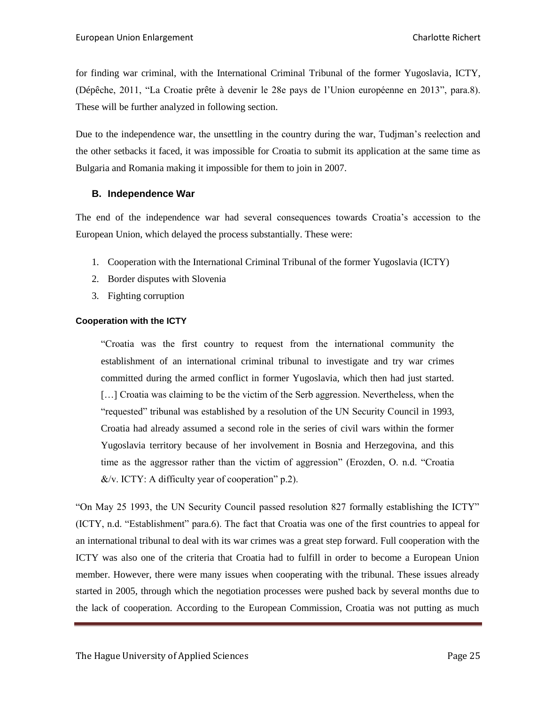for finding war criminal, with the International Criminal Tribunal of the former Yugoslavia, ICTY, (Dépêche, 2011, "La Croatie prête à devenir le 28e pays de l'Union européenne en 2013", para.8). These will be further analyzed in following section.

Due to the independence war, the unsettling in the country during the war, Tudjman's reelection and the other setbacks it faced, it was impossible for Croatia to submit its application at the same time as Bulgaria and Romania making it impossible for them to join in 2007.

# <span id="page-24-0"></span>**B. Independence War**

The end of the independence war had several consequences towards Croatia's accession to the European Union, which delayed the process substantially. These were:

- 1. Cooperation with the International Criminal Tribunal of the former Yugoslavia (ICTY)
- 2. Border disputes with Slovenia
- 3. Fighting corruption

# <span id="page-24-1"></span>**Cooperation with the ICTY**

"Croatia was the first country to request from the international community the establishment of an international criminal tribunal to investigate and try war crimes committed during the armed conflict in former Yugoslavia, which then had just started. [...] Croatia was claiming to be the victim of the Serb aggression. Nevertheless, when the "requested" tribunal was established by a resolution of the UN Security Council in 1993, Croatia had already assumed a second role in the series of civil wars within the former Yugoslavia territory because of her involvement in Bosnia and Herzegovina, and this time as the aggressor rather than the victim of aggression" (Erozden, O. n.d. "Croatia  $&/v$ . ICTY: A difficulty year of cooperation" p.2).

"On May 25 1993, the UN Security Council passed resolution 827 formally establishing the ICTY" (ICTY, n.d. "Establishment" para.6). The fact that Croatia was one of the first countries to appeal for an international tribunal to deal with its war crimes was a great step forward. Full cooperation with the ICTY was also one of the criteria that Croatia had to fulfill in order to become a European Union member. However, there were many issues when cooperating with the tribunal. These issues already started in 2005, through which the negotiation processes were pushed back by several months due to the lack of cooperation. According to the European Commission, Croatia was not putting as much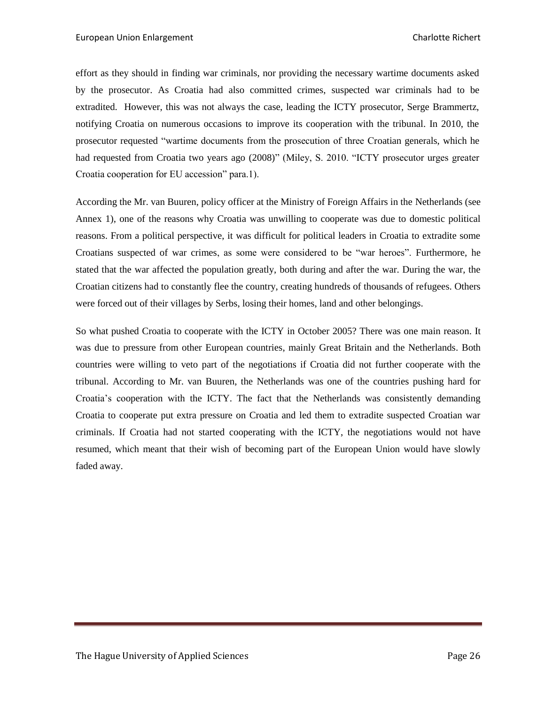effort as they should in finding war criminals, nor providing the necessary wartime documents asked by the prosecutor. As Croatia had also committed crimes, suspected war criminals had to be extradited. However, this was not always the case, leading the ICTY prosecutor, Serge Brammertz, notifying Croatia on numerous occasions to improve its cooperation with the tribunal. In 2010, the prosecutor requested "wartime documents from the prosecution of three Croatian generals, which he had requested from Croatia two years ago (2008)" (Miley, S. 2010. "ICTY prosecutor urges greater Croatia cooperation for EU accession" para.1).

According the Mr. van Buuren, policy officer at the Ministry of Foreign Affairs in the Netherlands (see Annex 1), one of the reasons why Croatia was unwilling to cooperate was due to domestic political reasons. From a political perspective, it was difficult for political leaders in Croatia to extradite some Croatians suspected of war crimes, as some were considered to be "war heroes". Furthermore, he stated that the war affected the population greatly, both during and after the war. During the war, the Croatian citizens had to constantly flee the country, creating hundreds of thousands of refugees. Others were forced out of their villages by Serbs, losing their homes, land and other belongings.

So what pushed Croatia to cooperate with the ICTY in October 2005? There was one main reason. It was due to pressure from other European countries, mainly Great Britain and the Netherlands. Both countries were willing to veto part of the negotiations if Croatia did not further cooperate with the tribunal. According to Mr. van Buuren, the Netherlands was one of the countries pushing hard for Croatia's cooperation with the ICTY. The fact that the Netherlands was consistently demanding Croatia to cooperate put extra pressure on Croatia and led them to extradite suspected Croatian war criminals. If Croatia had not started cooperating with the ICTY, the negotiations would not have resumed, which meant that their wish of becoming part of the European Union would have slowly faded away.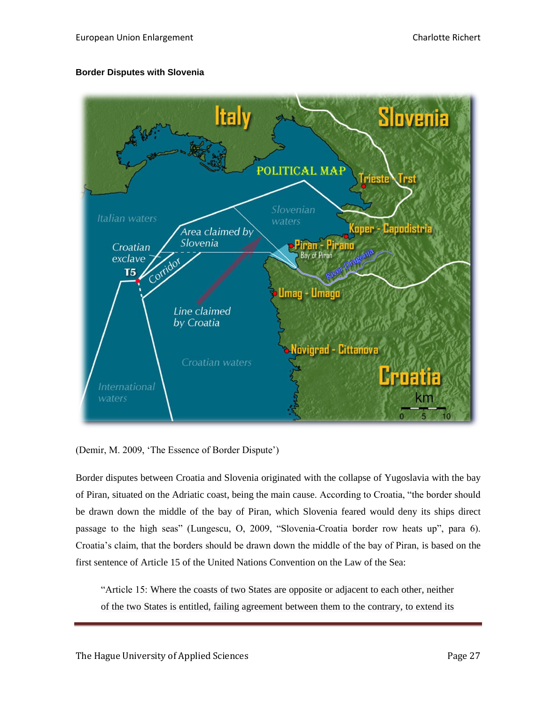#### <span id="page-26-0"></span>**Border Disputes with Slovenia**



(Demir, M. 2009, 'The Essence of Border Dispute')

Border disputes between Croatia and Slovenia originated with the collapse of Yugoslavia with the bay of Piran, situated on the Adriatic coast, being the main cause. According to Croatia, "the border should be drawn down the middle of the bay of Piran, which Slovenia feared would deny its ships direct passage to the high seas" (Lungescu, O, 2009, "Slovenia-Croatia border row heats up", para 6). Croatia's claim, that the borders should be drawn down the middle of the bay of Piran, is based on the first sentence of Article 15 of the United Nations Convention on the Law of the Sea:

"Article 15: Where the coasts of two States are opposite or adjacent to each other, neither of the two States is entitled, failing agreement between them to the contrary, to extend its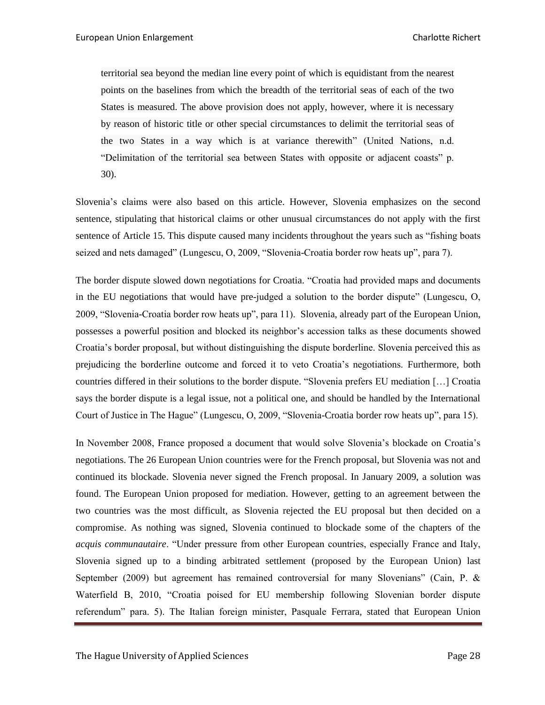territorial sea beyond the median line every point of which is equidistant from the nearest points on the baselines from which the breadth of the territorial seas of each of the two States is measured. The above provision does not apply, however, where it is necessary by reason of historic title or other special circumstances to delimit the territorial seas of the two States in a way which is at variance therewith" (United Nations, n.d. "Delimitation of the territorial sea between States with opposite or adjacent coasts" p. 30).

Slovenia's claims were also based on this article. However, Slovenia emphasizes on the second sentence, stipulating that historical claims or other unusual circumstances do not apply with the first sentence of Article 15. This dispute caused many incidents throughout the years such as "fishing boats seized and nets damaged" (Lungescu, O, 2009, "Slovenia-Croatia border row heats up", para 7).

The border dispute slowed down negotiations for Croatia. "Croatia had provided maps and documents in the EU negotiations that would have pre-judged a solution to the border dispute" (Lungescu, O, 2009, "Slovenia-Croatia border row heats up", para 11). Slovenia, already part of the European Union, possesses a powerful position and blocked its neighbor's accession talks as these documents showed Croatia's border proposal, but without distinguishing the dispute borderline. Slovenia perceived this as prejudicing the borderline outcome and forced it to veto Croatia's negotiations. Furthermore, both countries differed in their solutions to the border dispute. "Slovenia prefers EU mediation […] Croatia says the border dispute is a legal issue, not a political one, and should be handled by the International Court of Justice in The Hague" (Lungescu, O, 2009, "Slovenia-Croatia border row heats up", para 15).

In November 2008, France proposed a document that would solve Slovenia's blockade on Croatia's negotiations. The 26 European Union countries were for the French proposal, but Slovenia was not and continued its blockade. Slovenia never signed the French proposal. In January 2009, a solution was found. The European Union proposed for mediation. However, getting to an agreement between the two countries was the most difficult, as Slovenia rejected the EU proposal but then decided on a compromise. As nothing was signed, Slovenia continued to blockade some of the chapters of the *acquis communautaire*. "Under pressure from other European countries, especially France and Italy, Slovenia signed up to a binding arbitrated settlement (proposed by the European Union) last September (2009) but agreement has remained controversial for many Slovenians" (Cain, P. & Waterfield B, 2010, "Croatia poised for EU membership following Slovenian border dispute referendum" para. 5). The Italian foreign minister, Pasquale Ferrara, stated that European Union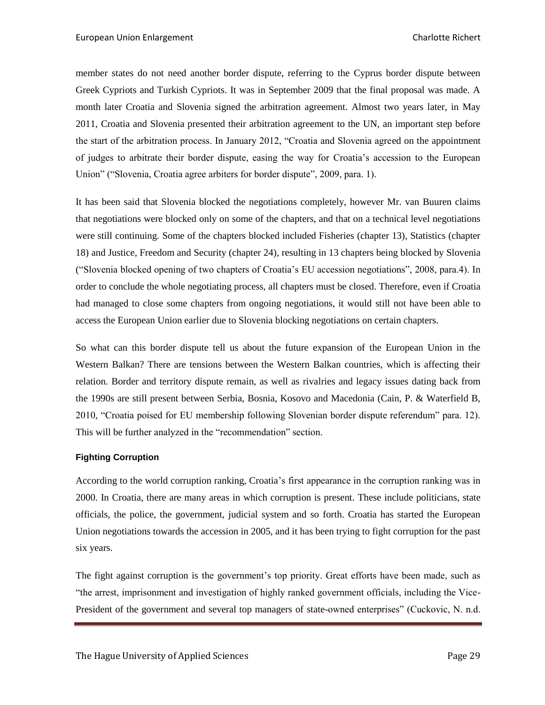member states do not need another border dispute, referring to the Cyprus border dispute between Greek Cypriots and Turkish Cypriots. It was in September 2009 that the final proposal was made. A month later Croatia and Slovenia signed the arbitration agreement. Almost two years later, in May 2011, Croatia and Slovenia presented their arbitration agreement to the UN, an important step before the start of the arbitration process. In January 2012, "Croatia and Slovenia agreed on the appointment of judges to arbitrate their border dispute, easing the way for Croatia's accession to the European Union" ("Slovenia, Croatia agree arbiters for border dispute", 2009, para. 1).

It has been said that Slovenia blocked the negotiations completely, however Mr. van Buuren claims that negotiations were blocked only on some of the chapters, and that on a technical level negotiations were still continuing. Some of the chapters blocked included Fisheries (chapter 13), Statistics (chapter 18) and Justice, Freedom and Security (chapter 24), resulting in 13 chapters being blocked by Slovenia ("Slovenia blocked opening of two chapters of Croatia's EU accession negotiations", 2008, para.4). In order to conclude the whole negotiating process, all chapters must be closed. Therefore, even if Croatia had managed to close some chapters from ongoing negotiations, it would still not have been able to access the European Union earlier due to Slovenia blocking negotiations on certain chapters.

So what can this border dispute tell us about the future expansion of the European Union in the Western Balkan? There are tensions between the Western Balkan countries, which is affecting their relation. Border and territory dispute remain, as well as rivalries and legacy issues dating back from the 1990s are still present between Serbia, Bosnia, Kosovo and Macedonia (Cain, P. & Waterfield B, 2010, "Croatia poised for EU membership following Slovenian border dispute referendum" para. 12). This will be further analyzed in the "recommendation" section.

#### <span id="page-28-0"></span>**Fighting Corruption**

According to the world corruption ranking, Croatia's first appearance in the corruption ranking was in 2000. In Croatia, there are many areas in which corruption is present. These include politicians, state officials, the police, the government, judicial system and so forth. Croatia has started the European Union negotiations towards the accession in 2005, and it has been trying to fight corruption for the past six years.

The fight against corruption is the government's top priority. Great efforts have been made, such as "the arrest, imprisonment and investigation of highly ranked government officials, including the Vice-President of the government and several top managers of state-owned enterprises" (Cuckovic, N. n.d.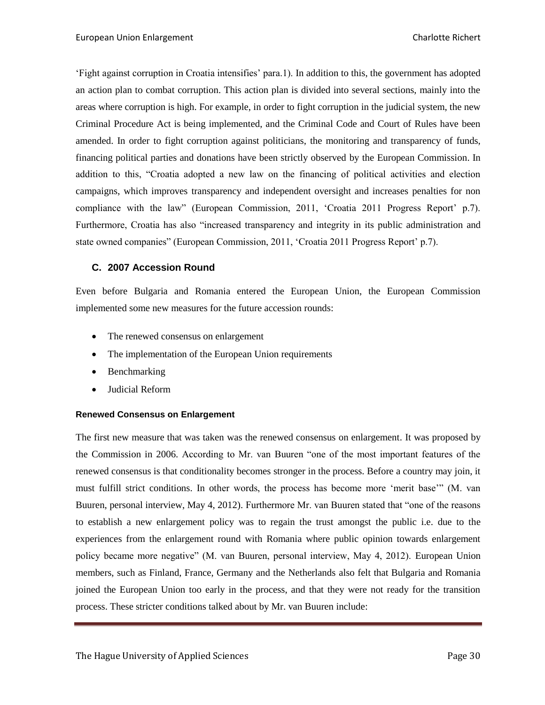'Fight against corruption in Croatia intensifies' para.1). In addition to this, the government has adopted an action plan to combat corruption. This action plan is divided into several sections, mainly into the areas where corruption is high. For example, in order to fight corruption in the judicial system, the new Criminal Procedure Act is being implemented, and the Criminal Code and Court of Rules have been amended. In order to fight corruption against politicians, the monitoring and transparency of funds, financing political parties and donations have been strictly observed by the European Commission. In addition to this, "Croatia adopted a new law on the financing of political activities and election campaigns, which improves transparency and independent oversight and increases penalties for non compliance with the law" (European Commission, 2011, 'Croatia 2011 Progress Report' p.7). Furthermore, Croatia has also "increased transparency and integrity in its public administration and state owned companies" (European Commission, 2011, 'Croatia 2011 Progress Report' p.7).

# <span id="page-29-0"></span>**C. 2007 Accession Round**

Even before Bulgaria and Romania entered the European Union, the European Commission implemented some new measures for the future accession rounds:

- The renewed consensus on enlargement
- The implementation of the European Union requirements
- Benchmarking
- Judicial Reform

#### <span id="page-29-1"></span>**Renewed Consensus on Enlargement**

The first new measure that was taken was the renewed consensus on enlargement. It was proposed by the Commission in 2006. According to Mr. van Buuren "one of the most important features of the renewed consensus is that conditionality becomes stronger in the process. Before a country may join, it must fulfill strict conditions. In other words, the process has become more 'merit base'" (M. van Buuren, personal interview, May 4, 2012). Furthermore Mr. van Buuren stated that "one of the reasons to establish a new enlargement policy was to regain the trust amongst the public i.e. due to the experiences from the enlargement round with Romania where public opinion towards enlargement policy became more negative" (M. van Buuren, personal interview, May 4, 2012). European Union members, such as Finland, France, Germany and the Netherlands also felt that Bulgaria and Romania joined the European Union too early in the process, and that they were not ready for the transition process. These stricter conditions talked about by Mr. van Buuren include: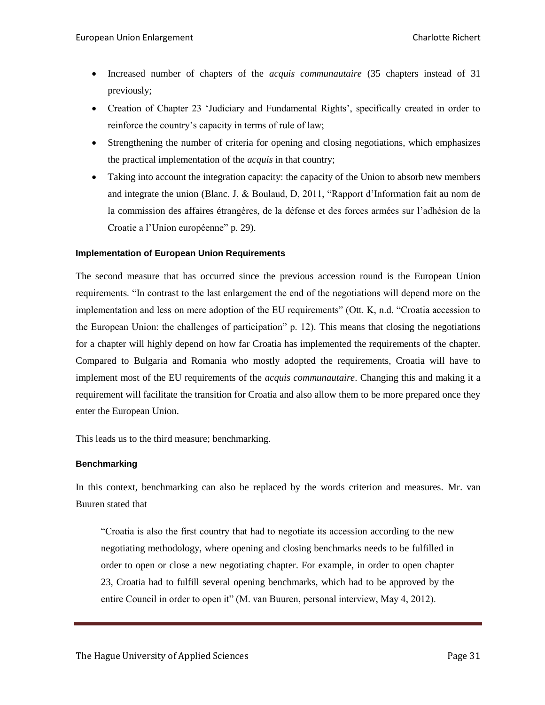- Increased number of chapters of the *acquis communautaire* (35 chapters instead of 31 previously;
- Creation of Chapter 23 'Judiciary and Fundamental Rights', specifically created in order to reinforce the country's capacity in terms of rule of law;
- Strengthening the number of criteria for opening and closing negotiations, which emphasizes the practical implementation of the *acquis* in that country;
- Taking into account the integration capacity: the capacity of the Union to absorb new members and integrate the union (Blanc. J, & Boulaud, D, 2011, "Rapport d'Information fait au nom de la commission des affaires étrangères, de la défense et des forces armées sur l'adhésion de la Croatie a l'Union européenne" p. 29).

#### <span id="page-30-0"></span>**Implementation of European Union Requirements**

The second measure that has occurred since the previous accession round is the European Union requirements. "In contrast to the last enlargement the end of the negotiations will depend more on the implementation and less on mere adoption of the EU requirements" (Ott. K, n.d. "Croatia accession to the European Union: the challenges of participation" p. 12). This means that closing the negotiations for a chapter will highly depend on how far Croatia has implemented the requirements of the chapter. Compared to Bulgaria and Romania who mostly adopted the requirements, Croatia will have to implement most of the EU requirements of the *acquis communautaire*. Changing this and making it a requirement will facilitate the transition for Croatia and also allow them to be more prepared once they enter the European Union.

This leads us to the third measure; benchmarking.

#### <span id="page-30-1"></span>**Benchmarking**

In this context, benchmarking can also be replaced by the words criterion and measures. Mr. van Buuren stated that

"Croatia is also the first country that had to negotiate its accession according to the new negotiating methodology, where opening and closing benchmarks needs to be fulfilled in order to open or close a new negotiating chapter. For example, in order to open chapter 23, Croatia had to fulfill several opening benchmarks, which had to be approved by the entire Council in order to open it" (M. van Buuren, personal interview, May 4, 2012).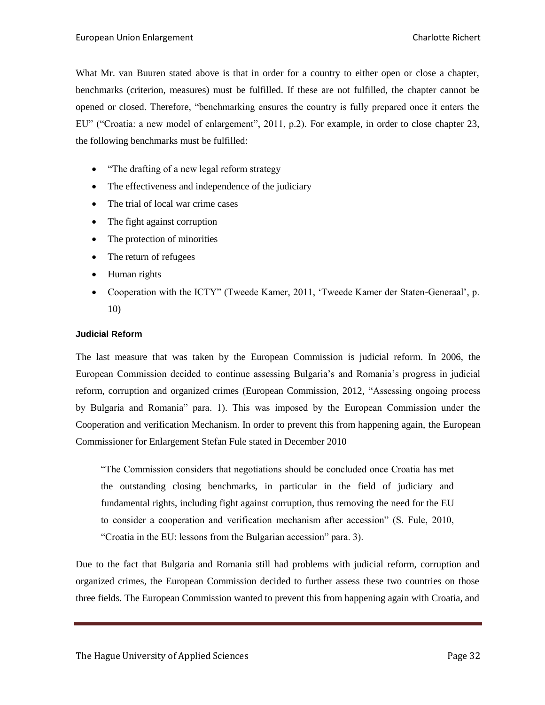What Mr. van Buuren stated above is that in order for a country to either open or close a chapter, benchmarks (criterion, measures) must be fulfilled. If these are not fulfilled, the chapter cannot be opened or closed. Therefore, "benchmarking ensures the country is fully prepared once it enters the EU" ("Croatia: a new model of enlargement", 2011, p.2). For example, in order to close chapter 23, the following benchmarks must be fulfilled:

- "The drafting of a new legal reform strategy
- The effectiveness and independence of the judiciary
- The trial of local war crime cases
- The fight against corruption
- The protection of minorities
- The return of refugees
- Human rights
- Cooperation with the ICTY" (Tweede Kamer, 2011, 'Tweede Kamer der Staten-Generaal', p. 10)

#### <span id="page-31-0"></span>**Judicial Reform**

The last measure that was taken by the European Commission is judicial reform. In 2006, the European Commission decided to continue assessing Bulgaria's and Romania's progress in judicial reform, corruption and organized crimes (European Commission, 2012, "Assessing ongoing process by Bulgaria and Romania" para. 1). This was imposed by the European Commission under the Cooperation and verification Mechanism. In order to prevent this from happening again, the European Commissioner for Enlargement Stefan Fule stated in December 2010

"The Commission considers that negotiations should be concluded once Croatia has met the outstanding closing benchmarks, in particular in the field of judiciary and fundamental rights, including fight against corruption, thus removing the need for the EU to consider a cooperation and verification mechanism after accession" (S. Fule, 2010, "Croatia in the EU: lessons from the Bulgarian accession" para. 3).

Due to the fact that Bulgaria and Romania still had problems with judicial reform, corruption and organized crimes, the European Commission decided to further assess these two countries on those three fields. The European Commission wanted to prevent this from happening again with Croatia, and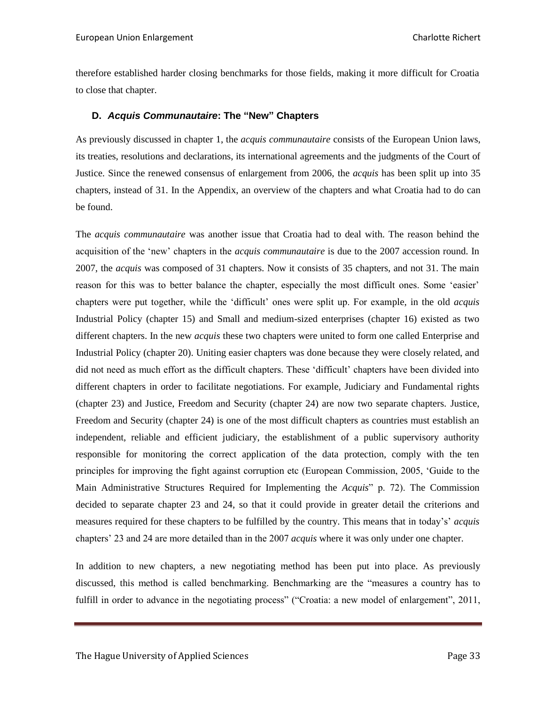therefore established harder closing benchmarks for those fields, making it more difficult for Croatia to close that chapter.

# <span id="page-32-0"></span>**D.** *Acquis Communautaire***: The "New" Chapters**

As previously discussed in chapter 1, the *acquis communautaire* consists of the European Union laws, its treaties, resolutions and declarations, its international agreements and the judgments of the Court of Justice. Since the renewed consensus of enlargement from 2006, the *acquis* has been split up into 35 chapters, instead of 31. In the Appendix, an overview of the chapters and what Croatia had to do can be found.

The *acquis communautaire* was another issue that Croatia had to deal with. The reason behind the acquisition of the 'new' chapters in the *acquis communautaire* is due to the 2007 accession round. In 2007, the *acquis* was composed of 31 chapters. Now it consists of 35 chapters, and not 31. The main reason for this was to better balance the chapter, especially the most difficult ones. Some 'easier' chapters were put together, while the 'difficult' ones were split up. For example, in the old *acquis*  Industrial Policy (chapter 15) and Small and medium-sized enterprises (chapter 16) existed as two different chapters. In the new *acquis* these two chapters were united to form one called Enterprise and Industrial Policy (chapter 20). Uniting easier chapters was done because they were closely related, and did not need as much effort as the difficult chapters. These 'difficult' chapters have been divided into different chapters in order to facilitate negotiations. For example, Judiciary and Fundamental rights (chapter 23) and Justice, Freedom and Security (chapter 24) are now two separate chapters. Justice, Freedom and Security (chapter 24) is one of the most difficult chapters as countries must establish an independent, reliable and efficient judiciary, the establishment of a public supervisory authority responsible for monitoring the correct application of the data protection, comply with the ten principles for improving the fight against corruption etc (European Commission, 2005, 'Guide to the Main Administrative Structures Required for Implementing the *Acquis*" p. 72). The Commission decided to separate chapter 23 and 24, so that it could provide in greater detail the criterions and measures required for these chapters to be fulfilled by the country. This means that in today's' *acquis* chapters' 23 and 24 are more detailed than in the 2007 *acquis* where it was only under one chapter.

In addition to new chapters, a new negotiating method has been put into place. As previously discussed, this method is called benchmarking. Benchmarking are the "measures a country has to fulfill in order to advance in the negotiating process" ("Croatia: a new model of enlargement", 2011,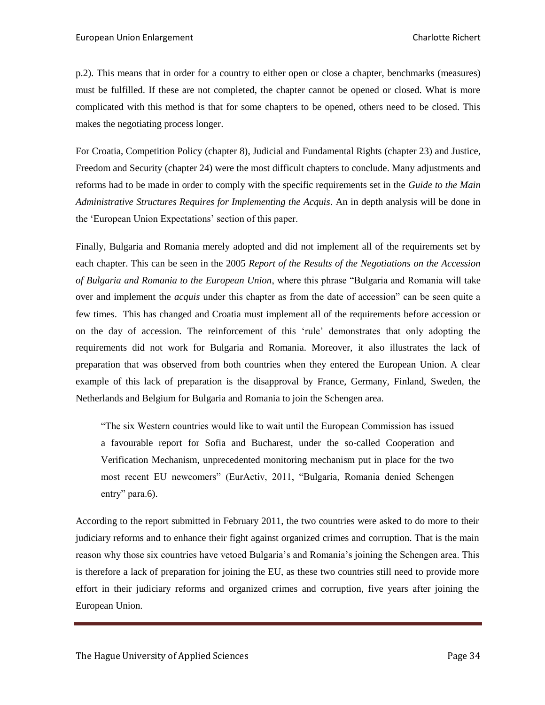p.2). This means that in order for a country to either open or close a chapter, benchmarks (measures) must be fulfilled. If these are not completed, the chapter cannot be opened or closed. What is more complicated with this method is that for some chapters to be opened, others need to be closed. This makes the negotiating process longer.

For Croatia, Competition Policy (chapter 8), Judicial and Fundamental Rights (chapter 23) and Justice, Freedom and Security (chapter 24) were the most difficult chapters to conclude. Many adjustments and reforms had to be made in order to comply with the specific requirements set in the *Guide to the Main Administrative Structures Requires for Implementing the Acquis*. An in depth analysis will be done in the 'European Union Expectations' section of this paper.

Finally, Bulgaria and Romania merely adopted and did not implement all of the requirements set by each chapter. This can be seen in the 2005 *Report of the Results of the Negotiations on the Accession of Bulgaria and Romania to the European Union*, where this phrase "Bulgaria and Romania will take over and implement the *acquis* under this chapter as from the date of accession" can be seen quite a few times. This has changed and Croatia must implement all of the requirements before accession or on the day of accession. The reinforcement of this 'rule' demonstrates that only adopting the requirements did not work for Bulgaria and Romania. Moreover, it also illustrates the lack of preparation that was observed from both countries when they entered the European Union. A clear example of this lack of preparation is the disapproval by France, Germany, Finland, Sweden, the Netherlands and Belgium for Bulgaria and Romania to join the Schengen area.

"The six Western countries would like to wait until the European Commission has issued a favourable report for Sofia and Bucharest, under the so-called Cooperation and Verification Mechanism, unprecedented monitoring mechanism put in place for the two most recent EU newcomers" (EurActiv, 2011, "Bulgaria, Romania denied Schengen entry" para.6).

According to the report submitted in February 2011, the two countries were asked to do more to their judiciary reforms and to enhance their fight against organized crimes and corruption. That is the main reason why those six countries have vetoed Bulgaria's and Romania's joining the Schengen area. This is therefore a lack of preparation for joining the EU, as these two countries still need to provide more effort in their judiciary reforms and organized crimes and corruption, five years after joining the European Union.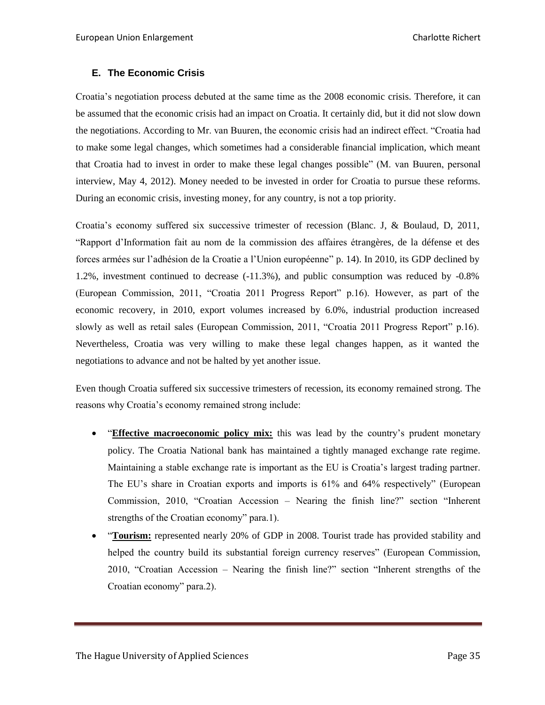# <span id="page-34-0"></span>**E. The Economic Crisis**

Croatia's negotiation process debuted at the same time as the 2008 economic crisis. Therefore, it can be assumed that the economic crisis had an impact on Croatia. It certainly did, but it did not slow down the negotiations. According to Mr. van Buuren, the economic crisis had an indirect effect. "Croatia had to make some legal changes, which sometimes had a considerable financial implication, which meant that Croatia had to invest in order to make these legal changes possible" (M. van Buuren, personal interview, May 4, 2012). Money needed to be invested in order for Croatia to pursue these reforms. During an economic crisis, investing money, for any country, is not a top priority.

Croatia's economy suffered six successive trimester of recession (Blanc. J, & Boulaud, D, 2011, "Rapport d'Information fait au nom de la commission des affaires étrangères, de la défense et des forces armées sur l'adhésion de la Croatie a l'Union européenne" p. 14). In 2010, its GDP declined by 1.2%, investment continued to decrease (-11.3%), and public consumption was reduced by -0.8% (European Commission, 2011, "Croatia 2011 Progress Report" p.16). However, as part of the economic recovery, in 2010, export volumes increased by 6.0%, industrial production increased slowly as well as retail sales (European Commission, 2011, "Croatia 2011 Progress Report" p.16). Nevertheless, Croatia was very willing to make these legal changes happen, as it wanted the negotiations to advance and not be halted by yet another issue.

Even though Croatia suffered six successive trimesters of recession, its economy remained strong. The reasons why Croatia's economy remained strong include:

- "**Effective macroeconomic policy mix:** this was lead by the country's prudent monetary policy. The Croatia National bank has maintained a tightly managed exchange rate regime. Maintaining a stable exchange rate is important as the EU is Croatia's largest trading partner. The EU's share in Croatian exports and imports is 61% and 64% respectively" (European Commission, 2010, "Croatian Accession – Nearing the finish line?" section "Inherent strengths of the Croatian economy" para.1).
- "**Tourism:** represented nearly 20% of GDP in 2008. Tourist trade has provided stability and helped the country build its substantial foreign currency reserves" (European Commission, 2010, "Croatian Accession – Nearing the finish line?" section "Inherent strengths of the Croatian economy" para.2).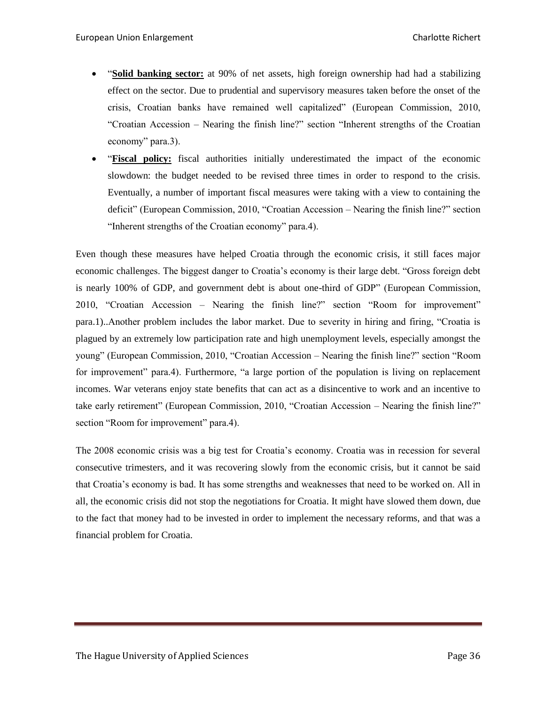- "**Solid banking sector:** at 90% of net assets, high foreign ownership had had a stabilizing effect on the sector. Due to prudential and supervisory measures taken before the onset of the crisis, Croatian banks have remained well capitalized" (European Commission, 2010, "Croatian Accession – Nearing the finish line?" section "Inherent strengths of the Croatian economy" para.3).
- "**Fiscal policy:** fiscal authorities initially underestimated the impact of the economic slowdown: the budget needed to be revised three times in order to respond to the crisis. Eventually, a number of important fiscal measures were taking with a view to containing the deficit" (European Commission, 2010, "Croatian Accession – Nearing the finish line?" section "Inherent strengths of the Croatian economy" para.4).

Even though these measures have helped Croatia through the economic crisis, it still faces major economic challenges. The biggest danger to Croatia's economy is their large debt. "Gross foreign debt is nearly 100% of GDP, and government debt is about one-third of GDP" (European Commission, 2010, "Croatian Accession – Nearing the finish line?" section "Room for improvement" para.1)..Another problem includes the labor market. Due to severity in hiring and firing, "Croatia is plagued by an extremely low participation rate and high unemployment levels, especially amongst the young" (European Commission, 2010, "Croatian Accession – Nearing the finish line?" section "Room for improvement" para.4). Furthermore, "a large portion of the population is living on replacement incomes. War veterans enjoy state benefits that can act as a disincentive to work and an incentive to take early retirement" (European Commission, 2010, "Croatian Accession – Nearing the finish line?" section "Room for improvement" para.4).

The 2008 economic crisis was a big test for Croatia's economy. Croatia was in recession for several consecutive trimesters, and it was recovering slowly from the economic crisis, but it cannot be said that Croatia's economy is bad. It has some strengths and weaknesses that need to be worked on. All in all, the economic crisis did not stop the negotiations for Croatia. It might have slowed them down, due to the fact that money had to be invested in order to implement the necessary reforms, and that was a financial problem for Croatia.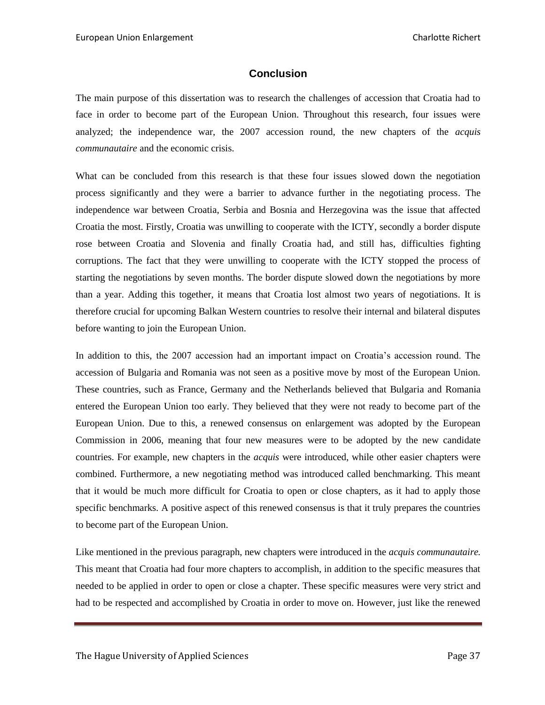# **Conclusion**

<span id="page-36-0"></span>The main purpose of this dissertation was to research the challenges of accession that Croatia had to face in order to become part of the European Union. Throughout this research, four issues were analyzed; the independence war, the 2007 accession round, the new chapters of the *acquis communautaire* and the economic crisis.

What can be concluded from this research is that these four issues slowed down the negotiation process significantly and they were a barrier to advance further in the negotiating process. The independence war between Croatia, Serbia and Bosnia and Herzegovina was the issue that affected Croatia the most. Firstly, Croatia was unwilling to cooperate with the ICTY, secondly a border dispute rose between Croatia and Slovenia and finally Croatia had, and still has, difficulties fighting corruptions. The fact that they were unwilling to cooperate with the ICTY stopped the process of starting the negotiations by seven months. The border dispute slowed down the negotiations by more than a year. Adding this together, it means that Croatia lost almost two years of negotiations. It is therefore crucial for upcoming Balkan Western countries to resolve their internal and bilateral disputes before wanting to join the European Union.

In addition to this, the 2007 accession had an important impact on Croatia's accession round. The accession of Bulgaria and Romania was not seen as a positive move by most of the European Union. These countries, such as France, Germany and the Netherlands believed that Bulgaria and Romania entered the European Union too early. They believed that they were not ready to become part of the European Union. Due to this, a renewed consensus on enlargement was adopted by the European Commission in 2006, meaning that four new measures were to be adopted by the new candidate countries. For example, new chapters in the *acquis* were introduced, while other easier chapters were combined. Furthermore, a new negotiating method was introduced called benchmarking. This meant that it would be much more difficult for Croatia to open or close chapters, as it had to apply those specific benchmarks. A positive aspect of this renewed consensus is that it truly prepares the countries to become part of the European Union.

Like mentioned in the previous paragraph, new chapters were introduced in the *acquis communautaire.* This meant that Croatia had four more chapters to accomplish, in addition to the specific measures that needed to be applied in order to open or close a chapter. These specific measures were very strict and had to be respected and accomplished by Croatia in order to move on. However, just like the renewed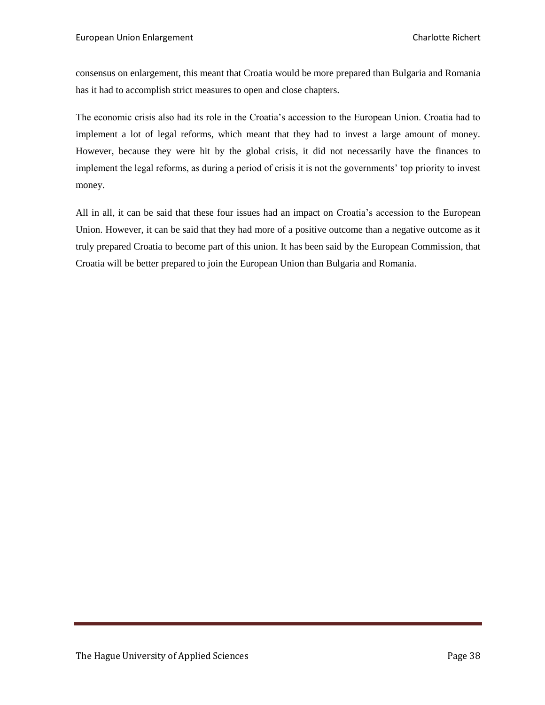consensus on enlargement, this meant that Croatia would be more prepared than Bulgaria and Romania has it had to accomplish strict measures to open and close chapters.

The economic crisis also had its role in the Croatia's accession to the European Union. Croatia had to implement a lot of legal reforms, which meant that they had to invest a large amount of money. However, because they were hit by the global crisis, it did not necessarily have the finances to implement the legal reforms, as during a period of crisis it is not the governments' top priority to invest money.

All in all, it can be said that these four issues had an impact on Croatia's accession to the European Union. However, it can be said that they had more of a positive outcome than a negative outcome as it truly prepared Croatia to become part of this union. It has been said by the European Commission, that Croatia will be better prepared to join the European Union than Bulgaria and Romania.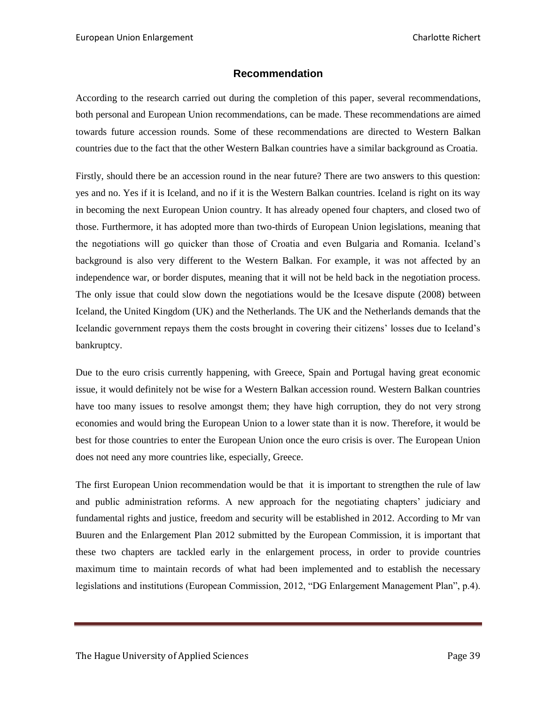# **Recommendation**

<span id="page-38-0"></span>According to the research carried out during the completion of this paper, several recommendations, both personal and European Union recommendations, can be made. These recommendations are aimed towards future accession rounds. Some of these recommendations are directed to Western Balkan countries due to the fact that the other Western Balkan countries have a similar background as Croatia.

Firstly, should there be an accession round in the near future? There are two answers to this question: yes and no. Yes if it is Iceland, and no if it is the Western Balkan countries. Iceland is right on its way in becoming the next European Union country. It has already opened four chapters, and closed two of those. Furthermore, it has adopted more than two-thirds of European Union legislations, meaning that the negotiations will go quicker than those of Croatia and even Bulgaria and Romania. Iceland's background is also very different to the Western Balkan. For example, it was not affected by an independence war, or border disputes, meaning that it will not be held back in the negotiation process. The only issue that could slow down the negotiations would be the Icesave dispute (2008) between Iceland, the United Kingdom (UK) and the Netherlands. The UK and the Netherlands demands that the Icelandic government repays them the costs brought in covering their citizens' losses due to Iceland's bankruptcy.

Due to the euro crisis currently happening, with Greece, Spain and Portugal having great economic issue, it would definitely not be wise for a Western Balkan accession round. Western Balkan countries have too many issues to resolve amongst them; they have high corruption, they do not very strong economies and would bring the European Union to a lower state than it is now. Therefore, it would be best for those countries to enter the European Union once the euro crisis is over. The European Union does not need any more countries like, especially, Greece.

The first European Union recommendation would be that it is important to strengthen the rule of law and public administration reforms. A new approach for the negotiating chapters' judiciary and fundamental rights and justice, freedom and security will be established in 2012. According to Mr van Buuren and the Enlargement Plan 2012 submitted by the European Commission, it is important that these two chapters are tackled early in the enlargement process, in order to provide countries maximum time to maintain records of what had been implemented and to establish the necessary legislations and institutions (European Commission, 2012, "DG Enlargement Management Plan", p.4).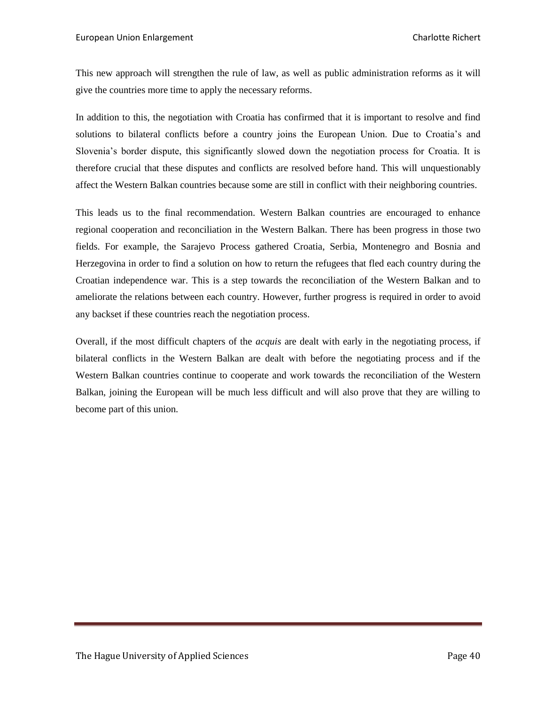This new approach will strengthen the rule of law, as well as public administration reforms as it will give the countries more time to apply the necessary reforms.

In addition to this, the negotiation with Croatia has confirmed that it is important to resolve and find solutions to bilateral conflicts before a country joins the European Union. Due to Croatia's and Slovenia's border dispute, this significantly slowed down the negotiation process for Croatia. It is therefore crucial that these disputes and conflicts are resolved before hand. This will unquestionably affect the Western Balkan countries because some are still in conflict with their neighboring countries.

This leads us to the final recommendation. Western Balkan countries are encouraged to enhance regional cooperation and reconciliation in the Western Balkan. There has been progress in those two fields. For example, the Sarajevo Process gathered Croatia, Serbia, Montenegro and Bosnia and Herzegovina in order to find a solution on how to return the refugees that fled each country during the Croatian independence war. This is a step towards the reconciliation of the Western Balkan and to ameliorate the relations between each country. However, further progress is required in order to avoid any backset if these countries reach the negotiation process.

Overall, if the most difficult chapters of the *acquis* are dealt with early in the negotiating process, if bilateral conflicts in the Western Balkan are dealt with before the negotiating process and if the Western Balkan countries continue to cooperate and work towards the reconciliation of the Western Balkan, joining the European will be much less difficult and will also prove that they are willing to become part of this union.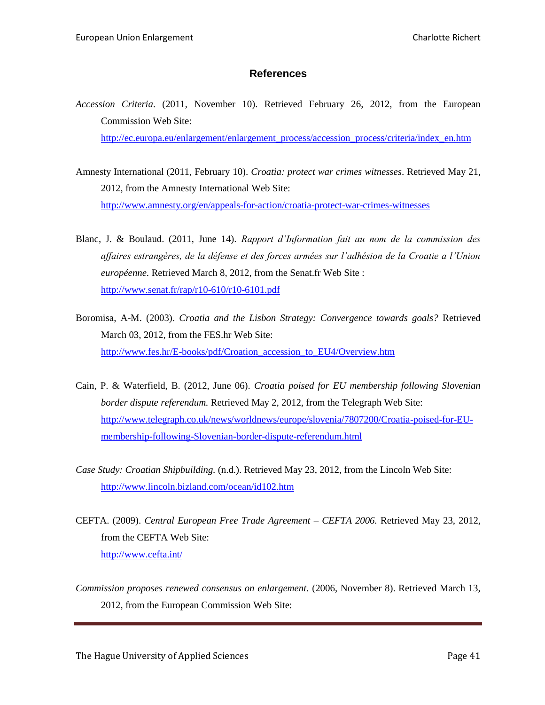# **References**

<span id="page-40-0"></span>*Accession Criteria*. (2011, November 10). Retrieved February 26, 2012, from the European Commission Web Site:

[http://ec.europa.eu/enlargement/enlargement\\_process/accession\\_process/criteria/index\\_en.htm](http://ec.europa.eu/enlargement/enlargement_process/accession_process/criteria/index_en.htm)

- Amnesty International (2011, February 10). *Croatia: protect war crimes witnesses*. Retrieved May 21, 2012, from the Amnesty International Web Site: <http://www.amnesty.org/en/appeals-for-action/croatia-protect-war-crimes-witnesses>
- Blanc, J. & Boulaud. (2011, June 14). *Rapport d'Information fait au nom de la commission des affaires estrangères, de la défense et des forces armées sur l'adhésion de la Croatie a l'Union européenne.* Retrieved March 8, 2012, from the Senat.fr Web Site : <http://www.senat.fr/rap/r10-610/r10-6101.pdf>
- Boromisa, A-M. (2003). *Croatia and the Lisbon Strategy: Convergence towards goals?* Retrieved March 03, 2012, from the FES.hr Web Site: [http://www.fes.hr/E-books/pdf/Croation\\_accession\\_to\\_EU4/Overview.htm](http://www.fes.hr/E-books/pdf/Croation_accession_to_EU4/Overview.htm)
- Cain, P. & Waterfield, B. (2012, June 06). *Croatia poised for EU membership following Slovenian border dispute referendum.* Retrieved May 2, 2012, from the Telegraph Web Site: [http://www.telegraph.co.uk/news/worldnews/europe/slovenia/7807200/Croatia-poised-for-EU](http://www.telegraph.co.uk/news/worldnews/europe/slovenia/7807200/Croatia-poised-for-EU-membership-following-Slovenian-border-dispute-referendum.html)[membership-following-Slovenian-border-dispute-referendum.html](http://www.telegraph.co.uk/news/worldnews/europe/slovenia/7807200/Croatia-poised-for-EU-membership-following-Slovenian-border-dispute-referendum.html)
- *Case Study: Croatian Shipbuilding.* (n.d.). Retrieved May 23, 2012, from the Lincoln Web Site: <http://www.lincoln.bizland.com/ocean/id102.htm>
- CEFTA. (2009). *Central European Free Trade Agreement – CEFTA 2006.* Retrieved May 23, 2012, from the CEFTA Web Site: <http://www.cefta.int/>
- *Commission proposes renewed consensus on enlargement.* (2006, November 8). Retrieved March 13, 2012, from the European Commission Web Site: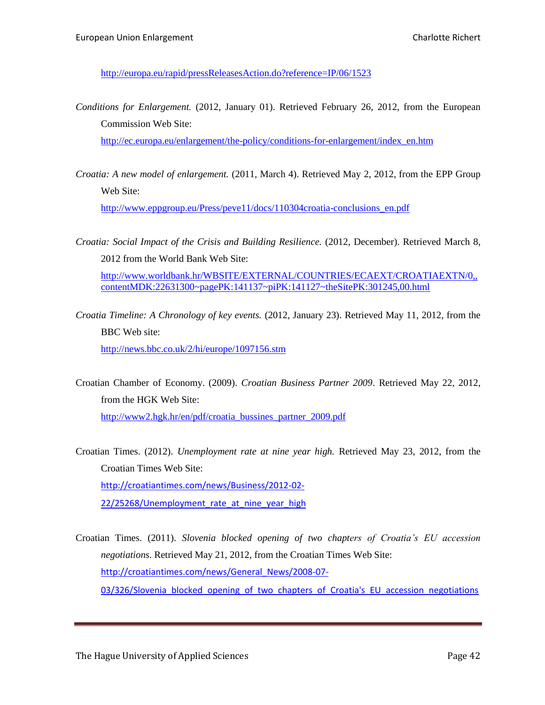<http://europa.eu/rapid/pressReleasesAction.do?reference=IP/06/1523>

*Conditions for Enlargement.* (2012, January 01). Retrieved February 26, 2012, from the European Commission Web Site:

[http://ec.europa.eu/enlargement/the-policy/conditions-for-enlargement/index\\_en.htm](http://ec.europa.eu/enlargement/the-policy/conditions-for-enlargement/index_en.htm)

*Croatia: A new model of enlargement.* (2011, March 4). Retrieved May 2, 2012, from the EPP Group Web Site:

[http://www.eppgroup.eu/Press/peve11/docs/110304croatia-conclusions\\_en.pdf](http://www.eppgroup.eu/Press/peve11/docs/110304croatia-conclusions_en.pdf)

*Croatia: Social Impact of the Crisis and Building Resilience.* (2012, December). Retrieved March 8, 2012 from the World Bank Web Site:

[http://www.worldbank.hr/WBSITE/EXTERNAL/COUNTRIES/ECAEXT/CROATIAEXTN/0,,](http://www.worldbank.hr/WBSITE/EXTERNAL/COUNTRIES/ECAEXT/CROATIAEXTN/0,,contentMDK:22631300~pagePK:141137~piPK:141127~theSitePK:301245,00.html) [contentMDK:22631300~pagePK:141137~piPK:141127~theSitePK:301245,00.html](http://www.worldbank.hr/WBSITE/EXTERNAL/COUNTRIES/ECAEXT/CROATIAEXTN/0,,contentMDK:22631300~pagePK:141137~piPK:141127~theSitePK:301245,00.html)

*Croatia Timeline: A Chronology of key events.* (2012, January 23). Retrieved May 11, 2012, from the BBC Web site:

<http://news.bbc.co.uk/2/hi/europe/1097156.stm>

- Croatian Chamber of Economy. (2009). *Croatian Business Partner 2009*. Retrieved May 22, 2012, from the HGK Web Site: [http://www2.hgk.hr/en/pdf/croatia\\_bussines\\_partner\\_2009.pdf](http://www2.hgk.hr/en/pdf/croatia_bussines_partner_2009.pdf)
- Croatian Times. (2012). *Unemployment rate at nine year high.* Retrieved May 23, 2012, from the Croatian Times Web Site: [http://croatiantimes.com/news/Business/2012-02-](http://croatiantimes.com/news/Business/2012-02-22/25268/Unemployment_rate_at_nine_year_high) 22/25268/Unemployment rate at nine year high
- Croatian Times. (2011). *Slovenia blocked opening of two chapters of Croatia's EU accession negotiations*. Retrieved May 21, 2012, from the Croatian Times Web Site: [http://croatiantimes.com/news/General\\_News/2008-07-](http://croatiantimes.com/news/General_News/2008-07-03/326/Slovenia_blocked_opening_of_two_chapters_of_Croatia) [03/326/Slovenia\\_blocked\\_opening\\_of\\_two\\_chapters\\_of\\_Croatia's\\_EU\\_accession\\_negotiations](http://croatiantimes.com/news/General_News/2008-07-03/326/Slovenia_blocked_opening_of_two_chapters_of_Croatia)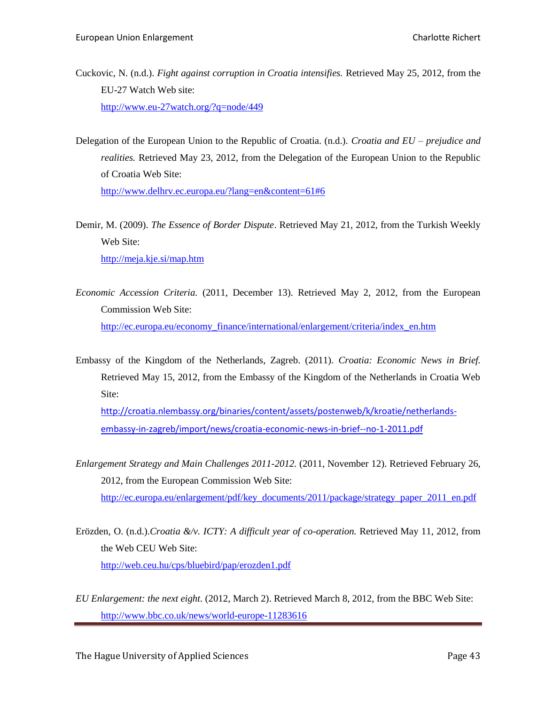- Cuckovic, N. (n.d.). *Fight against corruption in Croatia intensifies.* Retrieved May 25, 2012, from the EU-27 Watch Web site: <http://www.eu-27watch.org/?q=node/449>
- Delegation of the European Union to the Republic of Croatia. (n.d.). *Croatia and EU – prejudice and realities.* Retrieved May 23, 2012, from the Delegation of the European Union to the Republic of Croatia Web Site:

<http://www.delhrv.ec.europa.eu/?lang=en&content=61#6>

Demir, M. (2009). *The Essence of Border Dispute*. Retrieved May 21, 2012, from the Turkish Weekly Web Site:

<http://meja.kje.si/map.htm>

- *Economic Accession Criteria.* (2011, December 13). Retrieved May 2, 2012, from the European Commission Web Site: [http://ec.europa.eu/economy\\_finance/international/enlargement/criteria/index\\_en.htm](http://ec.europa.eu/economy_finance/international/enlargement/criteria/index_en.htm)
- Embassy of the Kingdom of the Netherlands, Zagreb. (2011). *Croatia: Economic News in Brief.* Retrieved May 15, 2012, from the Embassy of the Kingdom of the Netherlands in Croatia Web Site:

[http://croatia.nlembassy.org/binaries/content/assets/postenweb/k/kroatie/netherlands](http://croatia.nlembassy.org/binaries/content/assets/postenweb/k/kroatie/netherlands-embassy-in-zagreb/import/news/croatia-economic-news-in-brief--no-1-2011.pdf)[embassy-in-zagreb/import/news/croatia-economic-news-in-brief--no-1-2011.pdf](http://croatia.nlembassy.org/binaries/content/assets/postenweb/k/kroatie/netherlands-embassy-in-zagreb/import/news/croatia-economic-news-in-brief--no-1-2011.pdf)

- *Enlargement Strategy and Main Challenges 2011-2012.* (2011, November 12). Retrieved February 26, 2012, from the European Commission Web Site: [http://ec.europa.eu/enlargement/pdf/key\\_documents/2011/package/strategy\\_paper\\_2011\\_en.pdf](http://ec.europa.eu/enlargement/pdf/key_documents/2011/package/strategy_paper_2011_en.pdf)
- Erözden, O. (n.d.).*Croatia &/v. ICTY: A difficult year of co-operation.* Retrieved May 11, 2012, from the Web CEU Web Site: <http://web.ceu.hu/cps/bluebird/pap/erozden1.pdf>
- *EU Enlargement: the next eight.* (2012, March 2). Retrieved March 8, 2012, from the BBC Web Site: <http://www.bbc.co.uk/news/world-europe-11283616>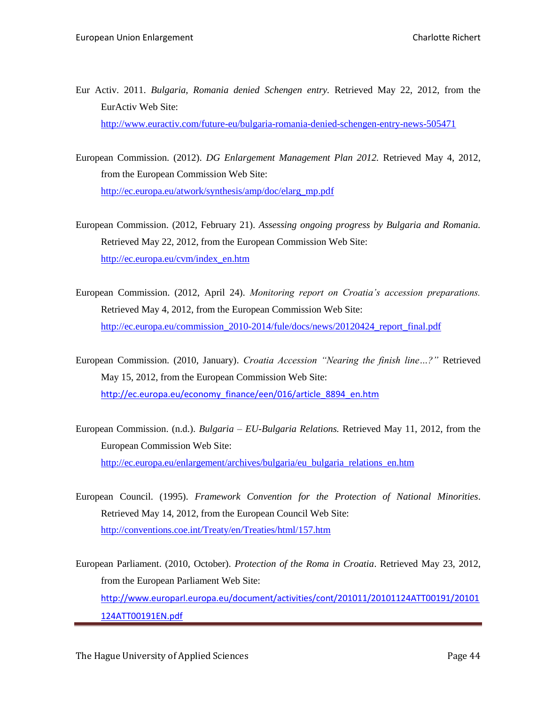- Eur Activ. 2011. *Bulgaria, Romania denied Schengen entry.* Retrieved May 22, 2012, from the EurActiv Web Site: <http://www.euractiv.com/future-eu/bulgaria-romania-denied-schengen-entry-news-505471>
- European Commission. (2012). *DG Enlargement Management Plan 2012.* Retrieved May 4, 2012, from the European Commission Web Site: [http://ec.europa.eu/atwork/synthesis/amp/doc/elarg\\_mp.pdf](http://ec.europa.eu/atwork/synthesis/amp/doc/elarg_mp.pdf)
- European Commission. (2012, February 21). *Assessing ongoing progress by Bulgaria and Romania.* Retrieved May 22, 2012, from the European Commission Web Site: [http://ec.europa.eu/cvm/index\\_en.htm](http://ec.europa.eu/cvm/index_en.htm)
- European Commission. (2012, April 24). *Monitoring report on Croatia's accession preparations.*  Retrieved May 4, 2012, from the European Commission Web Site: [http://ec.europa.eu/commission\\_2010-2014/fule/docs/news/20120424\\_report\\_final.pdf](http://ec.europa.eu/commission_2010-2014/fule/docs/news/20120424_report_final.pdf)
- European Commission. (2010, January). *Croatia Accession "Nearing the finish line…?"* Retrieved May 15, 2012, from the European Commission Web Site: [http://ec.europa.eu/economy\\_finance/een/016/article\\_8894\\_en.htm](http://ec.europa.eu/economy_finance/een/016/article_8894_en.htm)
- European Commission. (n.d.). *Bulgaria – EU-Bulgaria Relations.* Retrieved May 11, 2012, from the European Commission Web Site: [http://ec.europa.eu/enlargement/archives/bulgaria/eu\\_bulgaria\\_relations\\_en.htm](http://ec.europa.eu/enlargement/archives/bulgaria/eu_bulgaria_relations_en.htm)
- European Council. (1995). *Framework Convention for the Protection of National Minorities*. Retrieved May 14, 2012, from the European Council Web Site: <http://conventions.coe.int/Treaty/en/Treaties/html/157.htm>
- European Parliament. (2010, October). *Protection of the Roma in Croatia*. Retrieved May 23, 2012, from the European Parliament Web Site: [http://www.europarl.europa.eu/document/activities/cont/201011/20101124ATT00191/20101](http://www.europarl.europa.eu/document/activities/cont/201011/20101124ATT00191/20101124ATT00191EN.pdf) [124ATT00191EN.pdf](http://www.europarl.europa.eu/document/activities/cont/201011/20101124ATT00191/20101124ATT00191EN.pdf)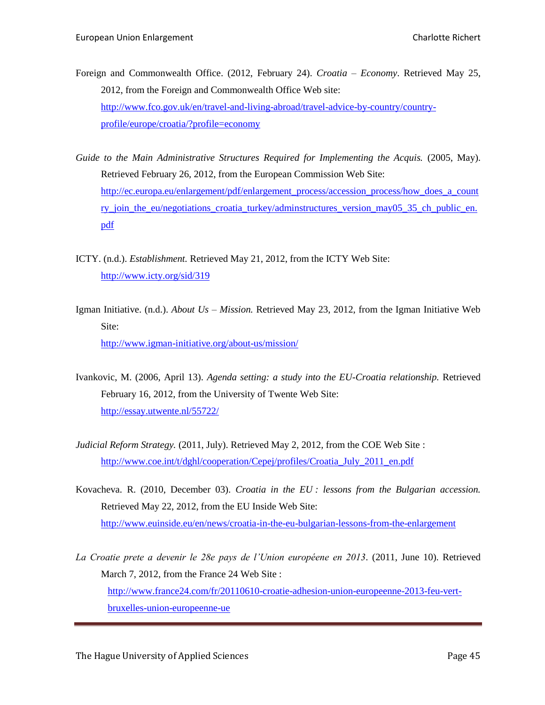- Foreign and Commonwealth Office. (2012, February 24). *Croatia – Economy*. Retrieved May 25, 2012, from the Foreign and Commonwealth Office Web site: [http://www.fco.gov.uk/en/travel-and-living-abroad/travel-advice-by-country/country](http://www.fco.gov.uk/en/travel-and-living-abroad/travel-advice-by-country/country-profile/europe/croatia/?profile=economy)[profile/europe/croatia/?profile=economy](http://www.fco.gov.uk/en/travel-and-living-abroad/travel-advice-by-country/country-profile/europe/croatia/?profile=economy)
- *Guide to the Main Administrative Structures Required for Implementing the Acquis.* (2005, May). Retrieved February 26, 2012, from the European Commission Web Site: [http://ec.europa.eu/enlargement/pdf/enlargement\\_process/accession\\_process/how\\_does\\_a\\_count](http://ec.europa.eu/enlargement/pdf/enlargement_process/accession_process/how_does_a_country_join_the_eu/negotiations_croatia_turkey/adminstructures_version_may05_35_ch_public_en.pdf) [ry\\_join\\_the\\_eu/negotiations\\_croatia\\_turkey/adminstructures\\_version\\_may05\\_35\\_ch\\_public\\_en.](http://ec.europa.eu/enlargement/pdf/enlargement_process/accession_process/how_does_a_country_join_the_eu/negotiations_croatia_turkey/adminstructures_version_may05_35_ch_public_en.pdf) [pdf](http://ec.europa.eu/enlargement/pdf/enlargement_process/accession_process/how_does_a_country_join_the_eu/negotiations_croatia_turkey/adminstructures_version_may05_35_ch_public_en.pdf)
- ICTY. (n.d.). *Establishment.* Retrieved May 21, 2012, from the ICTY Web Site: <http://www.icty.org/sid/319>
- Igman Initiative. (n.d.). *About Us – Mission.* Retrieved May 23, 2012, from the Igman Initiative Web Site: <http://www.igman-initiative.org/about-us/mission/>
- Ivankovic, M. (2006, April 13). *Agenda setting: a study into the EU-Croatia relationship.* Retrieved February 16, 2012, from the University of Twente Web Site: <http://essay.utwente.nl/55722/>
- *Judicial Reform Strategy.* (2011, July). Retrieved May 2, 2012, from the COE Web Site : [http://www.coe.int/t/dghl/cooperation/Cepej/profiles/Croatia\\_July\\_2011\\_en.pdf](http://www.coe.int/t/dghl/cooperation/Cepej/profiles/Croatia_July_2011_en.pdf)
- Kovacheva. R. (2010, December 03). *Croatia in the EU : lessons from the Bulgarian accession.* Retrieved May 22, 2012, from the EU Inside Web Site: <http://www.euinside.eu/en/news/croatia-in-the-eu-bulgarian-lessons-from-the-enlargement>
- *La Croatie prete a devenir le 28e pays de l'Union européene en 2013.* (2011, June 10). Retrieved March 7, 2012, from the France 24 Web Site : [http://www.france24.com/fr/20110610-croatie-adhesion-union-europeenne-2013-feu-vert](http://www.france24.com/fr/20110610-croatie-adhesion-union-europeenne-2013-feu-vert-bruxelles-union-europeenne-ue)[bruxelles-union-europeenne-ue](http://www.france24.com/fr/20110610-croatie-adhesion-union-europeenne-2013-feu-vert-bruxelles-union-europeenne-ue)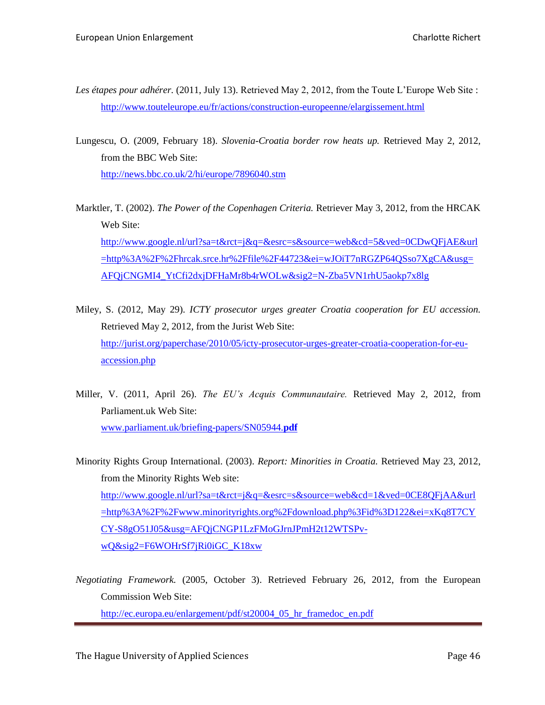- *Les étapes pour adhérer.* (2011, July 13). Retrieved May 2, 2012, from the Toute L'Europe Web Site : <http://www.touteleurope.eu/fr/actions/construction-europeenne/elargissement.html>
- Lungescu, O. (2009, February 18). *Slovenia-Croatia border row heats up.* Retrieved May 2, 2012, from the BBC Web Site:

<http://news.bbc.co.uk/2/hi/europe/7896040.stm>

- Marktler, T. (2002). *The Power of the Copenhagen Criteria.* Retriever May 3, 2012, from the HRCAK Web Site: [http://www.google.nl/url?sa=t&rct=j&q=&esrc=s&source=web&cd=5&ved=0CDwQFjAE&url](http://www.google.nl/url?sa=t&rct=j&q=&esrc=s&source=web&cd=5&ved=0CDwQFjAE&url=http%3A%2F%2Fhrcak.srce.hr%2Ffile%2F44723&ei=wJOiT7nRGZP64QSso7XgCA&usg=AFQjCNGMI4_YtCfi2dxjDFHaMr8b4rWOLw&sig2=N-Zba5VN1rhU5aokp7x8lg) [=http%3A%2F%2Fhrcak.srce.hr%2Ffile%2F44723&ei=wJOiT7nRGZP64QSso7XgCA&usg=](http://www.google.nl/url?sa=t&rct=j&q=&esrc=s&source=web&cd=5&ved=0CDwQFjAE&url=http%3A%2F%2Fhrcak.srce.hr%2Ffile%2F44723&ei=wJOiT7nRGZP64QSso7XgCA&usg=AFQjCNGMI4_YtCfi2dxjDFHaMr8b4rWOLw&sig2=N-Zba5VN1rhU5aokp7x8lg) [AFQjCNGMI4\\_YtCfi2dxjDFHaMr8b4rWOLw&sig2=N-Zba5VN1rhU5aokp7x8lg](http://www.google.nl/url?sa=t&rct=j&q=&esrc=s&source=web&cd=5&ved=0CDwQFjAE&url=http%3A%2F%2Fhrcak.srce.hr%2Ffile%2F44723&ei=wJOiT7nRGZP64QSso7XgCA&usg=AFQjCNGMI4_YtCfi2dxjDFHaMr8b4rWOLw&sig2=N-Zba5VN1rhU5aokp7x8lg)
- Miley, S. (2012, May 29). *ICTY prosecutor urges greater Croatia cooperation for EU accession.*  Retrieved May 2, 2012, from the Jurist Web Site: [http://jurist.org/paperchase/2010/05/icty-prosecutor-urges-greater-croatia-cooperation-for-eu](http://jurist.org/paperchase/2010/05/icty-prosecutor-urges-greater-croatia-cooperation-for-eu-accession.php)[accession.php](http://jurist.org/paperchase/2010/05/icty-prosecutor-urges-greater-croatia-cooperation-for-eu-accession.php)
- Miller, V. (2011, April 26). *The EU's Acquis Communautaire.* Retrieved May 2, 2012, from Parliament.uk Web Site: [www.parliament.uk/briefing-papers/SN05944.](http://www.parliament.uk/briefing-papers/SN05944.pdf)**pdf**
- Minority Rights Group International. (2003). *Report: Minorities in Croatia.* Retrieved May 23, 2012, from the Minority Rights Web site: [http://www.google.nl/url?sa=t&rct=j&q=&esrc=s&source=web&cd=1&ved=0CE8QFjAA&url](http://www.google.nl/url?sa=t&rct=j&q=&esrc=s&source=web&cd=1&ved=0CE8QFjAA&url=http%3A%2F%2Fwww.minorityrights.org%2Fdownload.php%3Fid%3D122&ei=xKq8T7CYCY-S8gO51J05&usg=AFQjCNGP1LzFMoGJrnJPmH2t12WTSPv-wQ&sig2=F6WOHrSf7jRi0iGC_K18xw) [=http%3A%2F%2Fwww.minorityrights.org%2Fdownload.php%3Fid%3D122&ei=xKq8T7CY](http://www.google.nl/url?sa=t&rct=j&q=&esrc=s&source=web&cd=1&ved=0CE8QFjAA&url=http%3A%2F%2Fwww.minorityrights.org%2Fdownload.php%3Fid%3D122&ei=xKq8T7CYCY-S8gO51J05&usg=AFQjCNGP1LzFMoGJrnJPmH2t12WTSPv-wQ&sig2=F6WOHrSf7jRi0iGC_K18xw) [CY-S8gO51J05&usg=AFQjCNGP1LzFMoGJrnJPmH2t12WTSPv](http://www.google.nl/url?sa=t&rct=j&q=&esrc=s&source=web&cd=1&ved=0CE8QFjAA&url=http%3A%2F%2Fwww.minorityrights.org%2Fdownload.php%3Fid%3D122&ei=xKq8T7CYCY-S8gO51J05&usg=AFQjCNGP1LzFMoGJrnJPmH2t12WTSPv-wQ&sig2=F6WOHrSf7jRi0iGC_K18xw)[wQ&sig2=F6WOHrSf7jRi0iGC\\_K18xw](http://www.google.nl/url?sa=t&rct=j&q=&esrc=s&source=web&cd=1&ved=0CE8QFjAA&url=http%3A%2F%2Fwww.minorityrights.org%2Fdownload.php%3Fid%3D122&ei=xKq8T7CYCY-S8gO51J05&usg=AFQjCNGP1LzFMoGJrnJPmH2t12WTSPv-wQ&sig2=F6WOHrSf7jRi0iGC_K18xw)
- *Negotiating Framework.* (2005, October 3). Retrieved February 26, 2012, from the European Commission Web Site:

[http://ec.europa.eu/enlargement/pdf/st20004\\_05\\_hr\\_framedoc\\_en.pdf](http://ec.europa.eu/enlargement/pdf/st20004_05_hr_framedoc_en.pdf)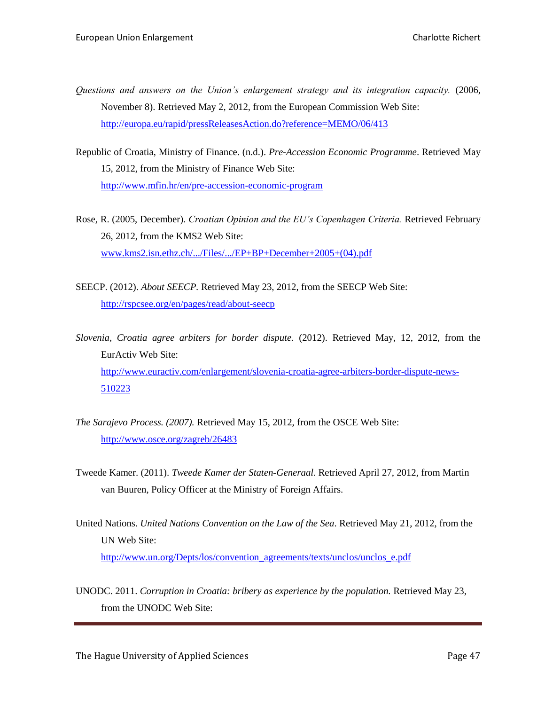- *Questions and answers on the Union's enlargement strategy and its integration capacity.* (2006, November 8). Retrieved May 2, 2012, from the European Commission Web Site: <http://europa.eu/rapid/pressReleasesAction.do?reference=MEMO/06/413>
- Republic of Croatia, Ministry of Finance. (n.d.). *Pre-Accession Economic Programme*. Retrieved May 15, 2012, from the Ministry of Finance Web Site: <http://www.mfin.hr/en/pre-accession-economic-program>
- Rose, R. (2005, December). *Croatian Opinion and the EU's Copenhagen Criteria.* Retrieved February 26, 2012, from the KMS2 Web Site: [www.kms2.isn.ethz.ch/.../Files/.../EP+BP+December+2005+\(04\).pdf](http://www.kms2.isn.ethz.ch/.../Files/.../EP+BP+December+2005+(04).pdf)
- SEECP. (2012). *About SEECP.* Retrieved May 23, 2012, from the SEECP Web Site: <http://rspcsee.org/en/pages/read/about-seecp>
- *Slovenia, Croatia agree arbiters for border dispute.* (2012). Retrieved May, 12, 2012, from the EurActiv Web Site: [http://www.euractiv.com/enlargement/slovenia-croatia-agree-arbiters-border-dispute-news-](http://www.euractiv.com/enlargement/slovenia-croatia-agree-arbiters-border-dispute-news-510223)[510223](http://www.euractiv.com/enlargement/slovenia-croatia-agree-arbiters-border-dispute-news-510223)
- *The Sarajevo Process. (2007).* Retrieved May 15, 2012, from the OSCE Web Site: <http://www.osce.org/zagreb/26483>
- Tweede Kamer. (2011). *Tweede Kamer der Staten-Generaal*. Retrieved April 27, 2012, from Martin van Buuren, Policy Officer at the Ministry of Foreign Affairs.
- United Nations. *United Nations Convention on the Law of the Sea*. Retrieved May 21, 2012, from the UN Web Site: [http://www.un.org/Depts/los/convention\\_agreements/texts/unclos/unclos\\_e.pdf](http://www.un.org/Depts/los/convention_agreements/texts/unclos/unclos_e.pdf)
- UNODC. 2011. *Corruption in Croatia: bribery as experience by the population.* Retrieved May 23, from the UNODC Web Site: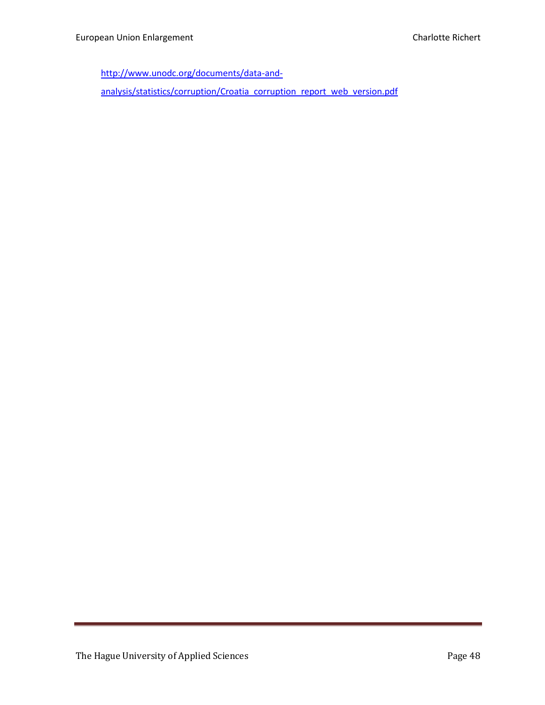[http://www.unodc.org/documents/data-and-](http://www.unodc.org/documents/data-and-analysis/statistics/corruption/Croatia_corruption_report_web_version.pdf)

[analysis/statistics/corruption/Croatia\\_corruption\\_report\\_web\\_version.pdf](http://www.unodc.org/documents/data-and-analysis/statistics/corruption/Croatia_corruption_report_web_version.pdf)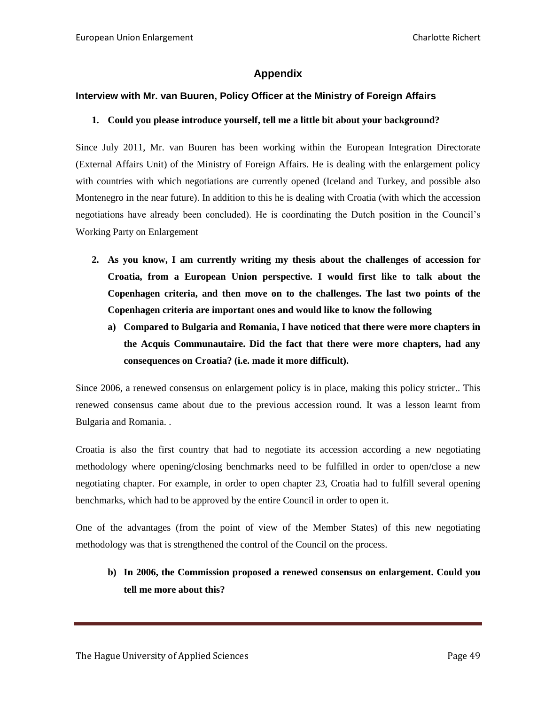# **Appendix**

# <span id="page-48-1"></span><span id="page-48-0"></span>**Interview with Mr. van Buuren, Policy Officer at the Ministry of Foreign Affairs**

#### **1. Could you please introduce yourself, tell me a little bit about your background?**

Since July 2011, Mr. van Buuren has been working within the European Integration Directorate (External Affairs Unit) of the Ministry of Foreign Affairs. He is dealing with the enlargement policy with countries with which negotiations are currently opened (Iceland and Turkey, and possible also Montenegro in the near future). In addition to this he is dealing with Croatia (with which the accession negotiations have already been concluded). He is coordinating the Dutch position in the Council's Working Party on Enlargement

- **2. As you know, I am currently writing my thesis about the challenges of accession for Croatia, from a European Union perspective. I would first like to talk about the Copenhagen criteria, and then move on to the challenges. The last two points of the Copenhagen criteria are important ones and would like to know the following**
	- **a) Compared to Bulgaria and Romania, I have noticed that there were more chapters in the Acquis Communautaire. Did the fact that there were more chapters, had any consequences on Croatia? (i.e. made it more difficult).**

Since 2006, a renewed consensus on enlargement policy is in place, making this policy stricter.. This renewed consensus came about due to the previous accession round. It was a lesson learnt from Bulgaria and Romania. .

Croatia is also the first country that had to negotiate its accession according a new negotiating methodology where opening/closing benchmarks need to be fulfilled in order to open/close a new negotiating chapter. For example, in order to open chapter 23, Croatia had to fulfill several opening benchmarks, which had to be approved by the entire Council in order to open it.

One of the advantages (from the point of view of the Member States) of this new negotiating methodology was that is strengthened the control of the Council on the process.

**b) In 2006, the Commission proposed a renewed consensus on enlargement. Could you tell me more about this?**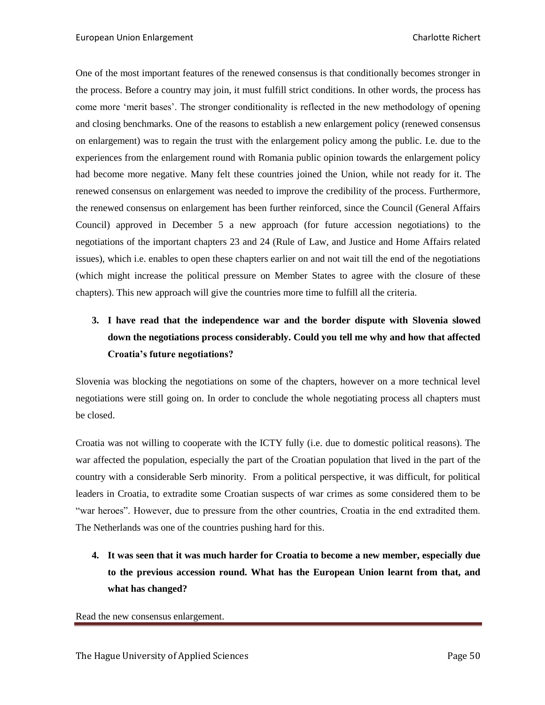One of the most important features of the renewed consensus is that conditionally becomes stronger in the process. Before a country may join, it must fulfill strict conditions. In other words, the process has come more 'merit bases'. The stronger conditionality is reflected in the new methodology of opening and closing benchmarks. One of the reasons to establish a new enlargement policy (renewed consensus on enlargement) was to regain the trust with the enlargement policy among the public. I.e. due to the experiences from the enlargement round with Romania public opinion towards the enlargement policy had become more negative. Many felt these countries joined the Union, while not ready for it. The renewed consensus on enlargement was needed to improve the credibility of the process. Furthermore, the renewed consensus on enlargement has been further reinforced, since the Council (General Affairs Council) approved in December 5 a new approach (for future accession negotiations) to the negotiations of the important chapters 23 and 24 (Rule of Law, and Justice and Home Affairs related issues), which i.e. enables to open these chapters earlier on and not wait till the end of the negotiations (which might increase the political pressure on Member States to agree with the closure of these chapters). This new approach will give the countries more time to fulfill all the criteria.

# **3. I have read that the independence war and the border dispute with Slovenia slowed down the negotiations process considerably. Could you tell me why and how that affected Croatia's future negotiations?**

Slovenia was blocking the negotiations on some of the chapters, however on a more technical level negotiations were still going on. In order to conclude the whole negotiating process all chapters must be closed.

Croatia was not willing to cooperate with the ICTY fully (i.e. due to domestic political reasons). The war affected the population, especially the part of the Croatian population that lived in the part of the country with a considerable Serb minority. From a political perspective, it was difficult, for political leaders in Croatia, to extradite some Croatian suspects of war crimes as some considered them to be "war heroes". However, due to pressure from the other countries, Croatia in the end extradited them. The Netherlands was one of the countries pushing hard for this.

**4. It was seen that it was much harder for Croatia to become a new member, especially due to the previous accession round. What has the European Union learnt from that, and what has changed?**

Read the new consensus enlargement.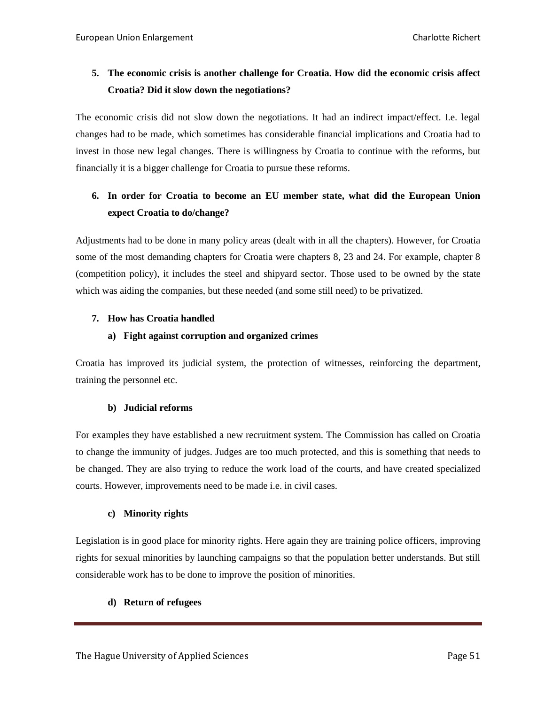# **5. The economic crisis is another challenge for Croatia. How did the economic crisis affect Croatia? Did it slow down the negotiations?**

The economic crisis did not slow down the negotiations. It had an indirect impact/effect. I.e. legal changes had to be made, which sometimes has considerable financial implications and Croatia had to invest in those new legal changes. There is willingness by Croatia to continue with the reforms, but financially it is a bigger challenge for Croatia to pursue these reforms.

# **6. In order for Croatia to become an EU member state, what did the European Union expect Croatia to do/change?**

Adjustments had to be done in many policy areas (dealt with in all the chapters). However, for Croatia some of the most demanding chapters for Croatia were chapters 8, 23 and 24. For example, chapter 8 (competition policy), it includes the steel and shipyard sector. Those used to be owned by the state which was aiding the companies, but these needed (and some still need) to be privatized.

# **7. How has Croatia handled**

# **a) Fight against corruption and organized crimes**

Croatia has improved its judicial system, the protection of witnesses, reinforcing the department, training the personnel etc.

#### **b) Judicial reforms**

For examples they have established a new recruitment system. The Commission has called on Croatia to change the immunity of judges. Judges are too much protected, and this is something that needs to be changed. They are also trying to reduce the work load of the courts, and have created specialized courts. However, improvements need to be made i.e. in civil cases.

#### **c) Minority rights**

Legislation is in good place for minority rights. Here again they are training police officers, improving rights for sexual minorities by launching campaigns so that the population better understands. But still considerable work has to be done to improve the position of minorities.

# **d) Return of refugees**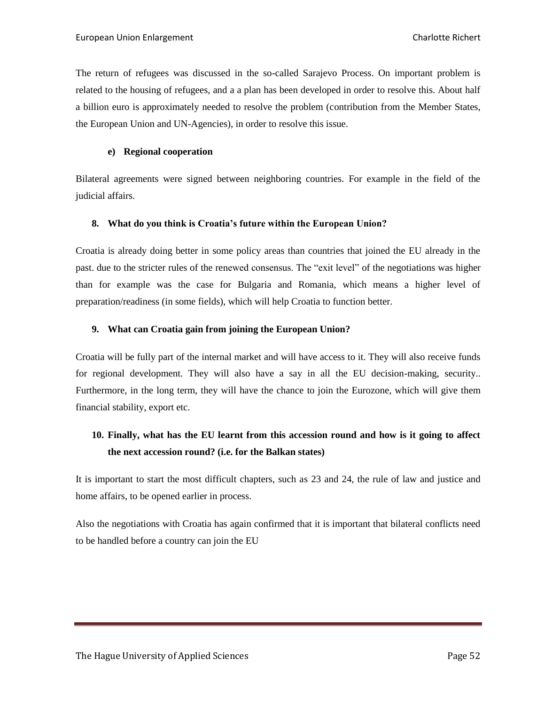The return of refugees was discussed in the so-called Sarajevo Process. On important problem is related to the housing of refugees, and a a plan has been developed in order to resolve this. About half a billion euro is approximately needed to resolve the problem (contribution from the Member States, the European Union and UN-Agencies), in order to resolve this issue.

#### **e) Regional cooperation**

Bilateral agreements were signed between neighboring countries. For example in the field of the judicial affairs.

#### **8. What do you think is Croatia's future within the European Union?**

Croatia is already doing better in some policy areas than countries that joined the EU already in the past. due to the stricter rules of the renewed consensus. The "exit level" of the negotiations was higher than for example was the case for Bulgaria and Romania, which means a higher level of preparation/readiness (in some fields), which will help Croatia to function better.

# **9. What can Croatia gain from joining the European Union?**

Croatia will be fully part of the internal market and will have access to it. They will also receive funds for regional development. They will also have a say in all the EU decision-making, security.. Furthermore, in the long term, they will have the chance to join the Eurozone, which will give them financial stability, export etc.

# **10. Finally, what has the EU learnt from this accession round and how is it going to affect the next accession round? (i.e. for the Balkan states)**

It is important to start the most difficult chapters, such as 23 and 24, the rule of law and justice and home affairs, to be opened earlier in process.

Also the negotiations with Croatia has again confirmed that it is important that bilateral conflicts need to be handled before a country can join the EU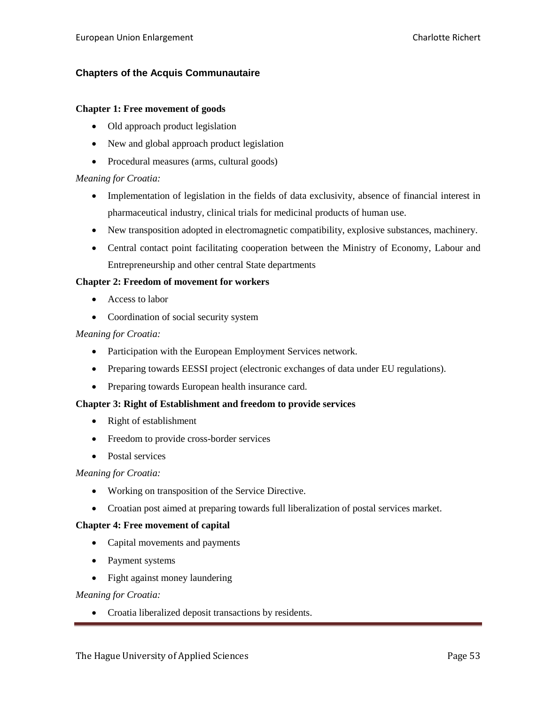# <span id="page-52-0"></span>**Chapters of the Acquis Communautaire**

#### **Chapter 1: Free movement of goods**

- Old approach product legislation
- New and global approach product legislation
- Procedural measures (arms, cultural goods)

#### *Meaning for Croatia:*

- Implementation of legislation in the fields of data exclusivity, absence of financial interest in pharmaceutical industry, clinical trials for medicinal products of human use.
- New transposition adopted in electromagnetic compatibility, explosive substances, machinery.
- Central contact point facilitating cooperation between the Ministry of Economy, Labour and Entrepreneurship and other central State departments

#### **Chapter 2: Freedom of movement for workers**

- Access to labor
- Coordination of social security system

#### *Meaning for Croatia:*

- Participation with the European Employment Services network.
- Preparing towards EESSI project (electronic exchanges of data under EU regulations).
- Preparing towards European health insurance card.

#### **Chapter 3: Right of Establishment and freedom to provide services**

- Right of establishment
- Freedom to provide cross-border services
- Postal services

#### *Meaning for Croatia:*

- Working on transposition of the Service Directive.
- Croatian post aimed at preparing towards full liberalization of postal services market.

#### **Chapter 4: Free movement of capital**

- Capital movements and payments
- Payment systems
- Fight against money laundering

*Meaning for Croatia:*

• Croatia liberalized deposit transactions by residents.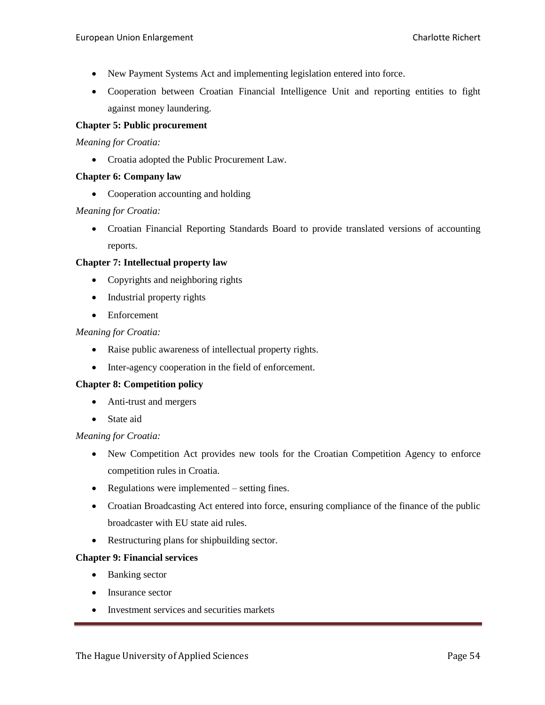- New Payment Systems Act and implementing legislation entered into force.
- Cooperation between Croatian Financial Intelligence Unit and reporting entities to fight against money laundering.

# **Chapter 5: Public procurement**

*Meaning for Croatia:*

• Croatia adopted the Public Procurement Law.

#### **Chapter 6: Company law**

• Cooperation accounting and holding

# *Meaning for Croatia:*

 Croatian Financial Reporting Standards Board to provide translated versions of accounting reports.

# **Chapter 7: Intellectual property law**

- Copyrights and neighboring rights
- Industrial property rights
- Enforcement

#### *Meaning for Croatia:*

- Raise public awareness of intellectual property rights.
- Inter-agency cooperation in the field of enforcement.

#### **Chapter 8: Competition policy**

- Anti-trust and mergers
- State aid

#### *Meaning for Croatia:*

- New Competition Act provides new tools for the Croatian Competition Agency to enforce competition rules in Croatia.
- Regulations were implemented setting fines.
- Croatian Broadcasting Act entered into force, ensuring compliance of the finance of the public broadcaster with EU state aid rules.
- Restructuring plans for shipbuilding sector.

#### **Chapter 9: Financial services**

- Banking sector
- Insurance sector
- Investment services and securities markets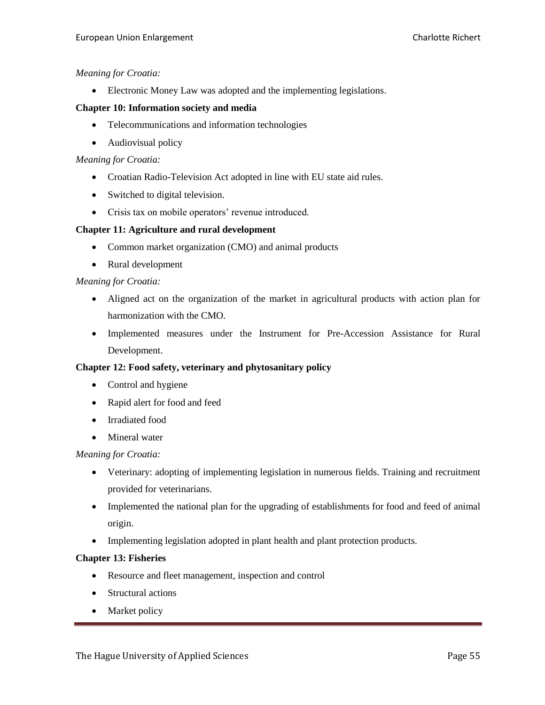Electronic Money Law was adopted and the implementing legislations.

### **Chapter 10: Information society and media**

- Telecommunications and information technologies
- Audiovisual policy

#### *Meaning for Croatia:*

- Croatian Radio-Television Act adopted in line with EU state aid rules.
- Switched to digital television.
- Crisis tax on mobile operators' revenue introduced.

# **Chapter 11: Agriculture and rural development**

- Common market organization (CMO) and animal products
- Rural development

# *Meaning for Croatia:*

- Aligned act on the organization of the market in agricultural products with action plan for harmonization with the CMO.
- Implemented measures under the Instrument for Pre-Accession Assistance for Rural Development.

#### **Chapter 12: Food safety, veterinary and phytosanitary policy**

- Control and hygiene
- Rapid alert for food and feed
- Irradiated food
- Mineral water

#### *Meaning for Croatia:*

- Veterinary: adopting of implementing legislation in numerous fields. Training and recruitment provided for veterinarians.
- Implemented the national plan for the upgrading of establishments for food and feed of animal origin.
- Implementing legislation adopted in plant health and plant protection products.

#### **Chapter 13: Fisheries**

- Resource and fleet management, inspection and control
- Structural actions
- Market policy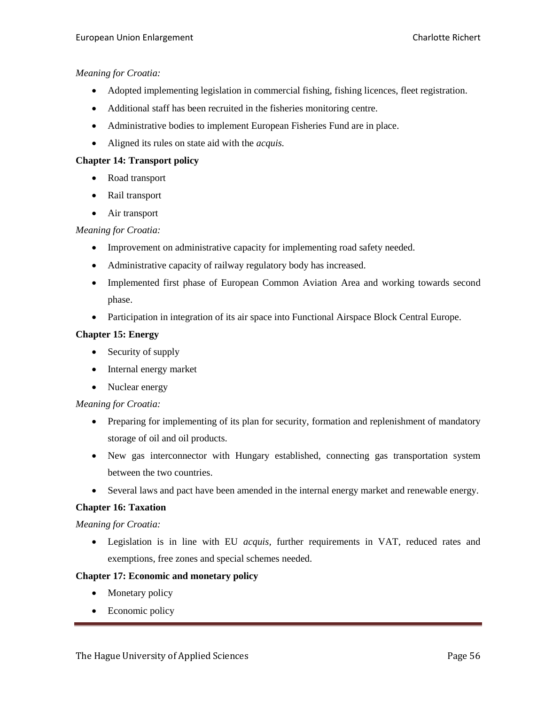- Adopted implementing legislation in commercial fishing, fishing licences, fleet registration.
- Additional staff has been recruited in the fisheries monitoring centre.
- Administrative bodies to implement European Fisheries Fund are in place.
- Aligned its rules on state aid with the *acquis.*

# **Chapter 14: Transport policy**

- Road transport
- Rail transport
- Air transport

# *Meaning for Croatia:*

- Improvement on administrative capacity for implementing road safety needed.
- Administrative capacity of railway regulatory body has increased.
- Implemented first phase of European Common Aviation Area and working towards second phase.
- Participation in integration of its air space into Functional Airspace Block Central Europe.

# **Chapter 15: Energy**

- Security of supply
- Internal energy market
- Nuclear energy

# *Meaning for Croatia:*

- Preparing for implementing of its plan for security, formation and replenishment of mandatory storage of oil and oil products.
- New gas interconnector with Hungary established, connecting gas transportation system between the two countries.
- Several laws and pact have been amended in the internal energy market and renewable energy.

# **Chapter 16: Taxation**

#### *Meaning for Croatia:*

 Legislation is in line with EU *acquis,* further requirements in VAT, reduced rates and exemptions, free zones and special schemes needed.

# **Chapter 17: Economic and monetary policy**

- Monetary policy
- Economic policy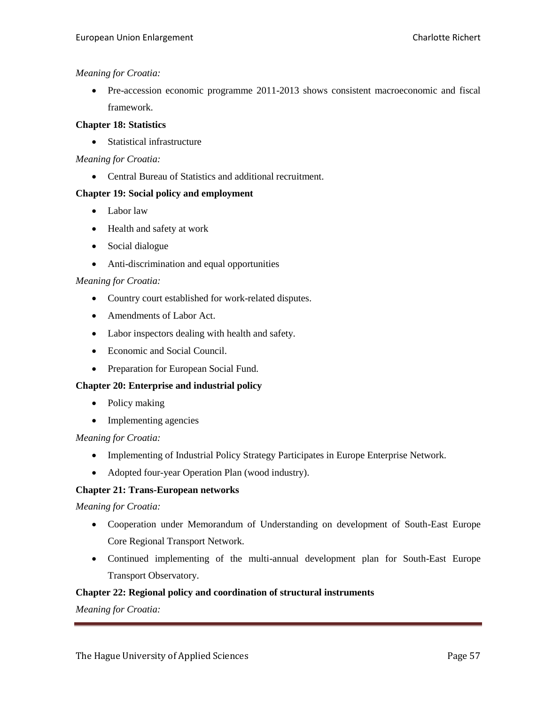Pre-accession economic programme 2011-2013 shows consistent macroeconomic and fiscal framework.

### **Chapter 18: Statistics**

• Statistical infrastructure

# *Meaning for Croatia:*

Central Bureau of Statistics and additional recruitment.

# **Chapter 19: Social policy and employment**

- Labor law
- Health and safety at work
- Social dialogue
- Anti-discrimination and equal opportunities

# *Meaning for Croatia:*

- Country court established for work-related disputes.
- Amendments of Labor Act.
- Labor inspectors dealing with health and safety.
- Economic and Social Council.
- Preparation for European Social Fund.

# **Chapter 20: Enterprise and industrial policy**

- Policy making
- Implementing agencies

# *Meaning for Croatia:*

- Implementing of Industrial Policy Strategy Participates in Europe Enterprise Network.
- Adopted four-year Operation Plan (wood industry).

# **Chapter 21: Trans-European networks**

# *Meaning for Croatia:*

- Cooperation under Memorandum of Understanding on development of South-East Europe Core Regional Transport Network.
- Continued implementing of the multi-annual development plan for South-East Europe Transport Observatory.

# **Chapter 22: Regional policy and coordination of structural instruments**

*Meaning for Croatia:*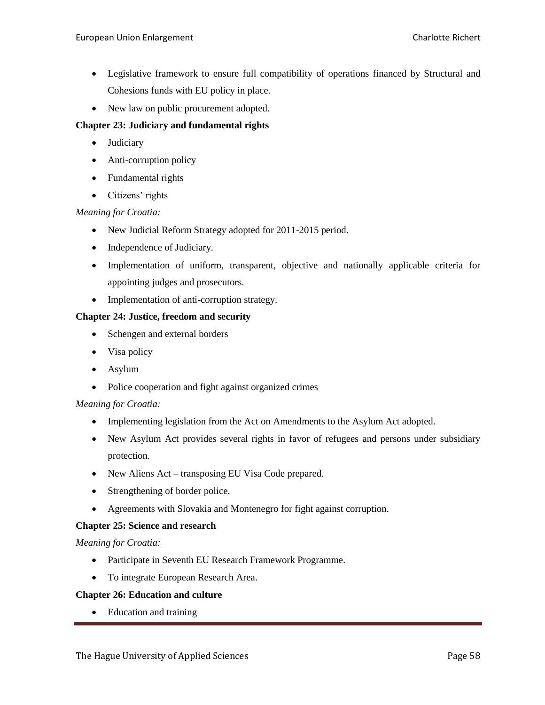- Legislative framework to ensure full compatibility of operations financed by Structural and Cohesions funds with EU policy in place.
- New law on public procurement adopted.

# **Chapter 23: Judiciary and fundamental rights**

- Judiciary
- Anti-corruption policy
- Fundamental rights
- Citizens' rights

# *Meaning for Croatia:*

- New Judicial Reform Strategy adopted for 2011-2015 period.
- Independence of Judiciary.
- Implementation of uniform, transparent, objective and nationally applicable criteria for appointing judges and prosecutors.
- Implementation of anti-corruption strategy.

# **Chapter 24: Justice, freedom and security**

- Schengen and external borders
- Visa policy
- Asylum
- Police cooperation and fight against organized crimes

#### *Meaning for Croatia:*

- Implementing legislation from the Act on Amendments to the Asylum Act adopted.
- New Asylum Act provides several rights in favor of refugees and persons under subsidiary protection.
- New Aliens Act transposing EU Visa Code prepared.
- Strengthening of border police.
- Agreements with Slovakia and Montenegro for fight against corruption.

#### **Chapter 25: Science and research**

*Meaning for Croatia:*

- Participate in Seventh EU Research Framework Programme.
- To integrate European Research Area.

#### **Chapter 26: Education and culture**

• Education and training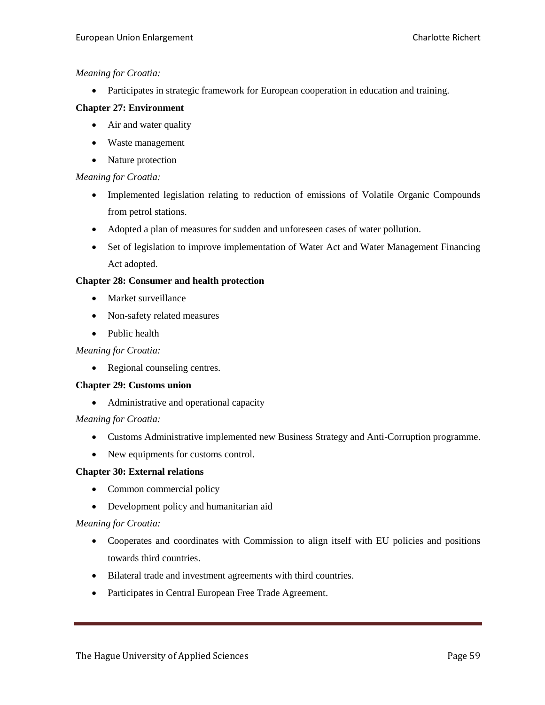Participates in strategic framework for European cooperation in education and training.

### **Chapter 27: Environment**

- Air and water quality
- Waste management
- Nature protection

# *Meaning for Croatia:*

- Implemented legislation relating to reduction of emissions of Volatile Organic Compounds from petrol stations.
- Adopted a plan of measures for sudden and unforeseen cases of water pollution.
- Set of legislation to improve implementation of Water Act and Water Management Financing Act adopted.

# **Chapter 28: Consumer and health protection**

- Market surveillance
- Non-safety related measures
- Public health

# *Meaning for Croatia:*

• Regional counseling centres.

#### **Chapter 29: Customs union**

Administrative and operational capacity

#### *Meaning for Croatia:*

- Customs Administrative implemented new Business Strategy and Anti-Corruption programme.
- New equipments for customs control.

#### **Chapter 30: External relations**

- Common commercial policy
- Development policy and humanitarian aid

# *Meaning for Croatia:*

- Cooperates and coordinates with Commission to align itself with EU policies and positions towards third countries.
- Bilateral trade and investment agreements with third countries.
- Participates in Central European Free Trade Agreement.